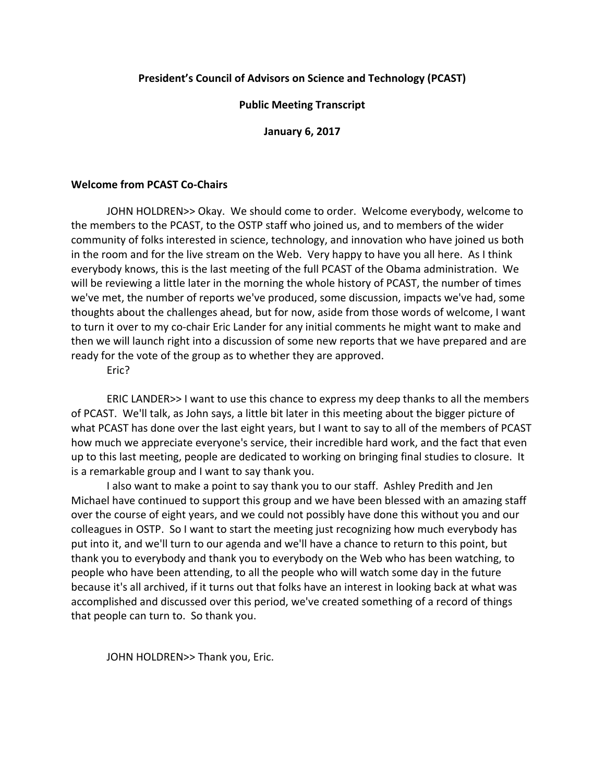# **President's Council of Advisors on Science and Technology (PCAST)**

# **Public Meeting Transcript**

**January 6, 2017**

# **Welcome from PCAST Co‐Chairs**

JOHN HOLDREN>> Okay. We should come to order. Welcome everybody, welcome to the members to the PCAST, to the OSTP staff who joined us, and to members of the wider community of folks interested in science, technology, and innovation who have joined us both in the room and for the live stream on the Web. Very happy to have you all here. As I think everybody knows, this is the last meeting of the full PCAST of the Obama administration. We will be reviewing a little later in the morning the whole history of PCAST, the number of times we've met, the number of reports we've produced, some discussion, impacts we've had, some thoughts about the challenges ahead, but for now, aside from those words of welcome, I want to turn it over to my co-chair Eric Lander for any initial comments he might want to make and then we will launch right into a discussion of some new reports that we have prepared and are ready for the vote of the group as to whether they are approved.

Eric?

ERIC LANDER>> I want to use this chance to express my deep thanks to all the members of PCAST. We'll talk, as John says, a little bit later in this meeting about the bigger picture of what PCAST has done over the last eight years, but I want to say to all of the members of PCAST how much we appreciate everyone's service, their incredible hard work, and the fact that even up to this last meeting, people are dedicated to working on bringing final studies to closure. It is a remarkable group and I want to say thank you.

I also want to make a point to say thank you to our staff. Ashley Predith and Jen Michael have continued to support this group and we have been blessed with an amazing staff over the course of eight years, and we could not possibly have done this without you and our colleagues in OSTP. So I want to start the meeting just recognizing how much everybody has put into it, and we'll turn to our agenda and we'll have a chance to return to this point, but thank you to everybody and thank you to everybody on the Web who has been watching, to people who have been attending, to all the people who will watch some day in the future because it's all archived, if it turns out that folks have an interest in looking back at what was accomplished and discussed over this period, we've created something of a record of things that people can turn to. So thank you.

JOHN HOLDREN>> Thank you, Eric.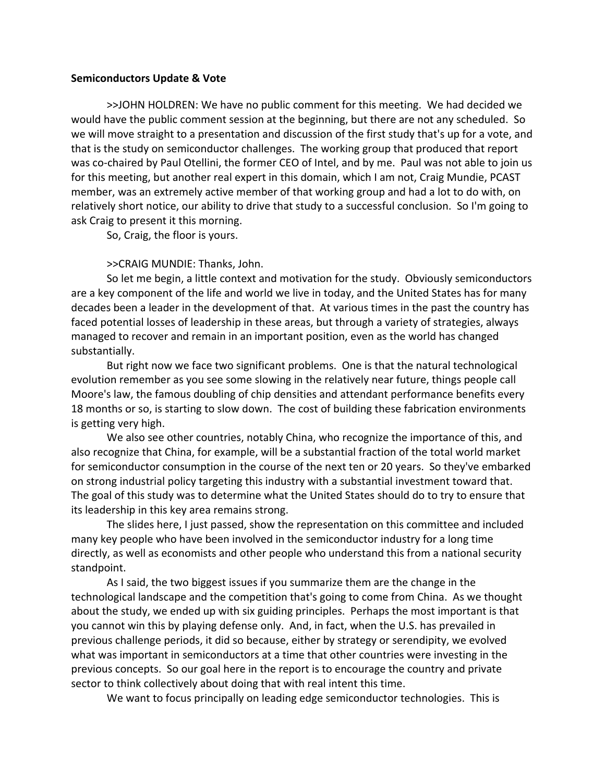#### **Semiconductors Update & Vote**

>>JOHN HOLDREN: We have no public comment for this meeting. We had decided we would have the public comment session at the beginning, but there are not any scheduled. So we will move straight to a presentation and discussion of the first study that's up for a vote, and that is the study on semiconductor challenges. The working group that produced that report was co-chaired by Paul Otellini, the former CEO of Intel, and by me. Paul was not able to join us for this meeting, but another real expert in this domain, which I am not, Craig Mundie, PCAST member, was an extremely active member of that working group and had a lot to do with, on relatively short notice, our ability to drive that study to a successful conclusion. So I'm going to ask Craig to present it this morning.

So, Craig, the floor is yours.

>>CRAIG MUNDIE: Thanks, John.

So let me begin, a little context and motivation for the study. Obviously semiconductors are a key component of the life and world we live in today, and the United States has for many decades been a leader in the development of that. At various times in the past the country has faced potential losses of leadership in these areas, but through a variety of strategies, always managed to recover and remain in an important position, even as the world has changed substantially.

But right now we face two significant problems. One is that the natural technological evolution remember as you see some slowing in the relatively near future, things people call Moore's law, the famous doubling of chip densities and attendant performance benefits every 18 months or so, is starting to slow down. The cost of building these fabrication environments is getting very high.

We also see other countries, notably China, who recognize the importance of this, and also recognize that China, for example, will be a substantial fraction of the total world market for semiconductor consumption in the course of the next ten or 20 years. So they've embarked on strong industrial policy targeting this industry with a substantial investment toward that. The goal of this study was to determine what the United States should do to try to ensure that its leadership in this key area remains strong.

The slides here, I just passed, show the representation on this committee and included many key people who have been involved in the semiconductor industry for a long time directly, as well as economists and other people who understand this from a national security standpoint.

As I said, the two biggest issues if you summarize them are the change in the technological landscape and the competition that's going to come from China. As we thought about the study, we ended up with six guiding principles. Perhaps the most important is that you cannot win this by playing defense only. And, in fact, when the U.S. has prevailed in previous challenge periods, it did so because, either by strategy or serendipity, we evolved what was important in semiconductors at a time that other countries were investing in the previous concepts. So our goal here in the report is to encourage the country and private sector to think collectively about doing that with real intent this time.

We want to focus principally on leading edge semiconductor technologies. This is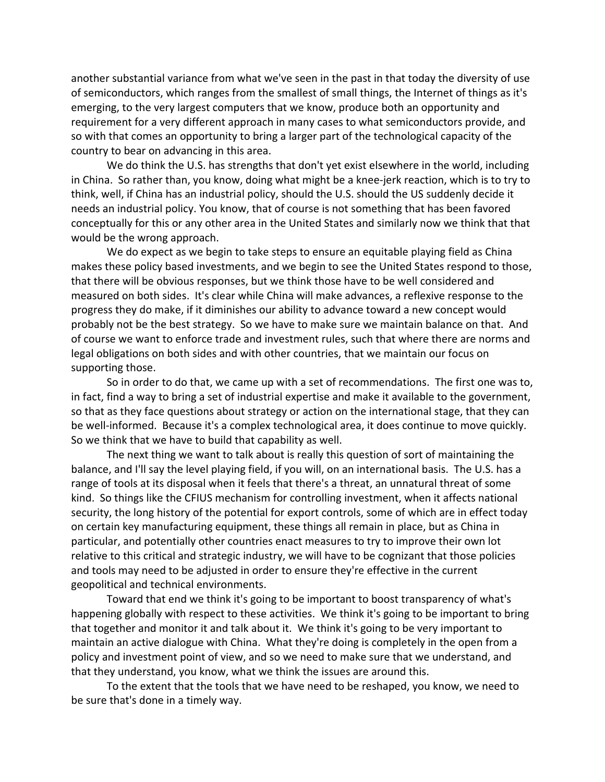another substantial variance from what we've seen in the past in that today the diversity of use of semiconductors, which ranges from the smallest of small things, the Internet of things as it's emerging, to the very largest computers that we know, produce both an opportunity and requirement for a very different approach in many cases to what semiconductors provide, and so with that comes an opportunity to bring a larger part of the technological capacity of the country to bear on advancing in this area.

We do think the U.S. has strengths that don't yet exist elsewhere in the world, including in China. So rather than, you know, doing what might be a knee-jerk reaction, which is to try to think, well, if China has an industrial policy, should the U.S. should the US suddenly decide it needs an industrial policy. You know, that of course is not something that has been favored conceptually for this or any other area in the United States and similarly now we think that that would be the wrong approach.

We do expect as we begin to take steps to ensure an equitable playing field as China makes these policy based investments, and we begin to see the United States respond to those, that there will be obvious responses, but we think those have to be well considered and measured on both sides. It's clear while China will make advances, a reflexive response to the progress they do make, if it diminishes our ability to advance toward a new concept would probably not be the best strategy. So we have to make sure we maintain balance on that. And of course we want to enforce trade and investment rules, such that where there are norms and legal obligations on both sides and with other countries, that we maintain our focus on supporting those.

So in order to do that, we came up with a set of recommendations. The first one was to, in fact, find a way to bring a set of industrial expertise and make it available to the government, so that as they face questions about strategy or action on the international stage, that they can be well-informed. Because it's a complex technological area, it does continue to move quickly. So we think that we have to build that capability as well.

The next thing we want to talk about is really this question of sort of maintaining the balance, and I'll say the level playing field, if you will, on an international basis. The U.S. has a range of tools at its disposal when it feels that there's a threat, an unnatural threat of some kind. So things like the CFIUS mechanism for controlling investment, when it affects national security, the long history of the potential for export controls, some of which are in effect today on certain key manufacturing equipment, these things all remain in place, but as China in particular, and potentially other countries enact measures to try to improve their own lot relative to this critical and strategic industry, we will have to be cognizant that those policies and tools may need to be adjusted in order to ensure they're effective in the current geopolitical and technical environments.

Toward that end we think it's going to be important to boost transparency of what's happening globally with respect to these activities. We think it's going to be important to bring that together and monitor it and talk about it. We think it's going to be very important to maintain an active dialogue with China. What they're doing is completely in the open from a policy and investment point of view, and so we need to make sure that we understand, and that they understand, you know, what we think the issues are around this.

To the extent that the tools that we have need to be reshaped, you know, we need to be sure that's done in a timely way.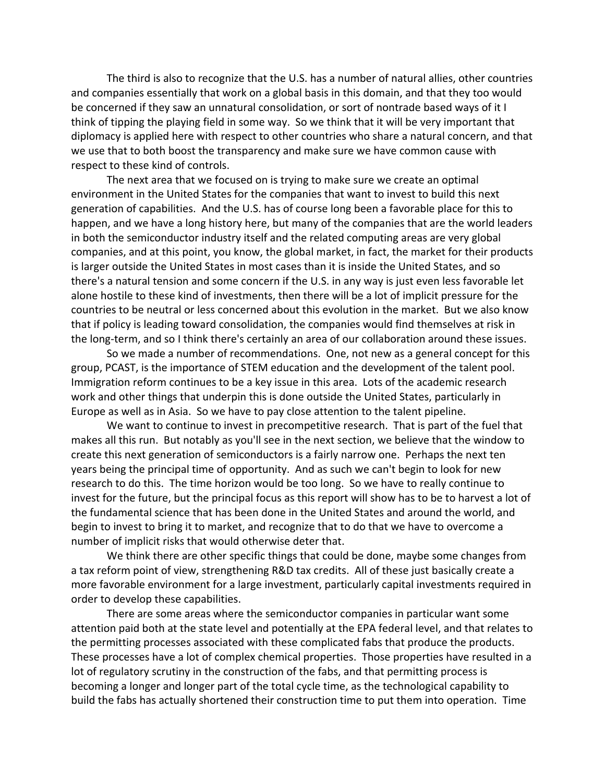The third is also to recognize that the U.S. has a number of natural allies, other countries and companies essentially that work on a global basis in this domain, and that they too would be concerned if they saw an unnatural consolidation, or sort of nontrade based ways of it I think of tipping the playing field in some way. So we think that it will be very important that diplomacy is applied here with respect to other countries who share a natural concern, and that we use that to both boost the transparency and make sure we have common cause with respect to these kind of controls.

The next area that we focused on is trying to make sure we create an optimal environment in the United States for the companies that want to invest to build this next generation of capabilities. And the U.S. has of course long been a favorable place for this to happen, and we have a long history here, but many of the companies that are the world leaders in both the semiconductor industry itself and the related computing areas are very global companies, and at this point, you know, the global market, in fact, the market for their products is larger outside the United States in most cases than it is inside the United States, and so there's a natural tension and some concern if the U.S. in any way is just even less favorable let alone hostile to these kind of investments, then there will be a lot of implicit pressure for the countries to be neutral or less concerned about this evolution in the market. But we also know that if policy is leading toward consolidation, the companies would find themselves at risk in the long‐term, and so I think there's certainly an area of our collaboration around these issues.

So we made a number of recommendations. One, not new as a general concept for this group, PCAST, is the importance of STEM education and the development of the talent pool. Immigration reform continues to be a key issue in this area. Lots of the academic research work and other things that underpin this is done outside the United States, particularly in Europe as well as in Asia. So we have to pay close attention to the talent pipeline.

We want to continue to invest in precompetitive research. That is part of the fuel that makes all this run. But notably as you'll see in the next section, we believe that the window to create this next generation of semiconductors is a fairly narrow one. Perhaps the next ten years being the principal time of opportunity. And as such we can't begin to look for new research to do this. The time horizon would be too long. So we have to really continue to invest for the future, but the principal focus as this report will show has to be to harvest a lot of the fundamental science that has been done in the United States and around the world, and begin to invest to bring it to market, and recognize that to do that we have to overcome a number of implicit risks that would otherwise deter that.

We think there are other specific things that could be done, maybe some changes from a tax reform point of view, strengthening R&D tax credits. All of these just basically create a more favorable environment for a large investment, particularly capital investments required in order to develop these capabilities.

There are some areas where the semiconductor companies in particular want some attention paid both at the state level and potentially at the EPA federal level, and that relates to the permitting processes associated with these complicated fabs that produce the products. These processes have a lot of complex chemical properties. Those properties have resulted in a lot of regulatory scrutiny in the construction of the fabs, and that permitting process is becoming a longer and longer part of the total cycle time, as the technological capability to build the fabs has actually shortened their construction time to put them into operation. Time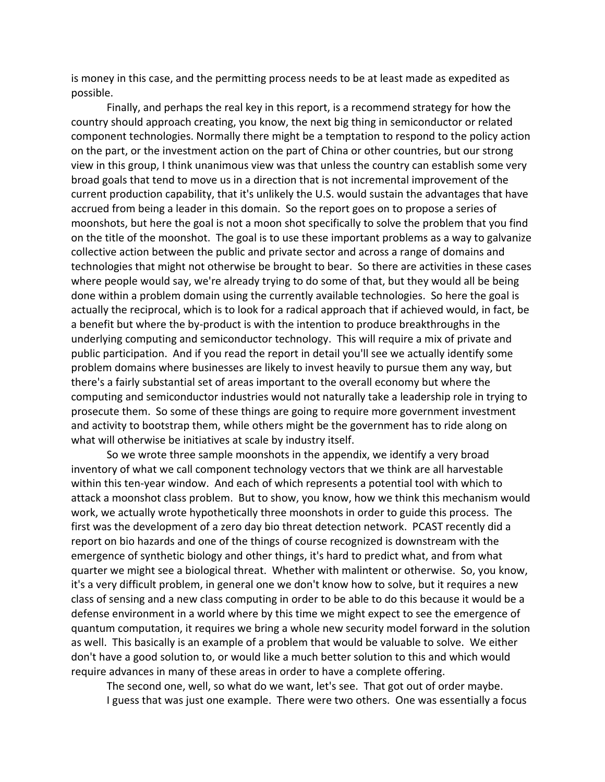is money in this case, and the permitting process needs to be at least made as expedited as possible.

Finally, and perhaps the real key in this report, is a recommend strategy for how the country should approach creating, you know, the next big thing in semiconductor or related component technologies. Normally there might be a temptation to respond to the policy action on the part, or the investment action on the part of China or other countries, but our strong view in this group, I think unanimous view was that unless the country can establish some very broad goals that tend to move us in a direction that is not incremental improvement of the current production capability, that it's unlikely the U.S. would sustain the advantages that have accrued from being a leader in this domain. So the report goes on to propose a series of moonshots, but here the goal is not a moon shot specifically to solve the problem that you find on the title of the moonshot. The goal is to use these important problems as a way to galvanize collective action between the public and private sector and across a range of domains and technologies that might not otherwise be brought to bear. So there are activities in these cases where people would say, we're already trying to do some of that, but they would all be being done within a problem domain using the currently available technologies. So here the goal is actually the reciprocal, which is to look for a radical approach that if achieved would, in fact, be a benefit but where the by‐product is with the intention to produce breakthroughs in the underlying computing and semiconductor technology. This will require a mix of private and public participation. And if you read the report in detail you'll see we actually identify some problem domains where businesses are likely to invest heavily to pursue them any way, but there's a fairly substantial set of areas important to the overall economy but where the computing and semiconductor industries would not naturally take a leadership role in trying to prosecute them. So some of these things are going to require more government investment and activity to bootstrap them, while others might be the government has to ride along on what will otherwise be initiatives at scale by industry itself.

So we wrote three sample moonshots in the appendix, we identify a very broad inventory of what we call component technology vectors that we think are all harvestable within this ten-year window. And each of which represents a potential tool with which to attack a moonshot class problem. But to show, you know, how we think this mechanism would work, we actually wrote hypothetically three moonshots in order to guide this process. The first was the development of a zero day bio threat detection network. PCAST recently did a report on bio hazards and one of the things of course recognized is downstream with the emergence of synthetic biology and other things, it's hard to predict what, and from what quarter we might see a biological threat. Whether with malintent or otherwise. So, you know, it's a very difficult problem, in general one we don't know how to solve, but it requires a new class of sensing and a new class computing in order to be able to do this because it would be a defense environment in a world where by this time we might expect to see the emergence of quantum computation, it requires we bring a whole new security model forward in the solution as well. This basically is an example of a problem that would be valuable to solve. We either don't have a good solution to, or would like a much better solution to this and which would require advances in many of these areas in order to have a complete offering.

The second one, well, so what do we want, let's see. That got out of order maybe. I guess that was just one example. There were two others. One was essentially a focus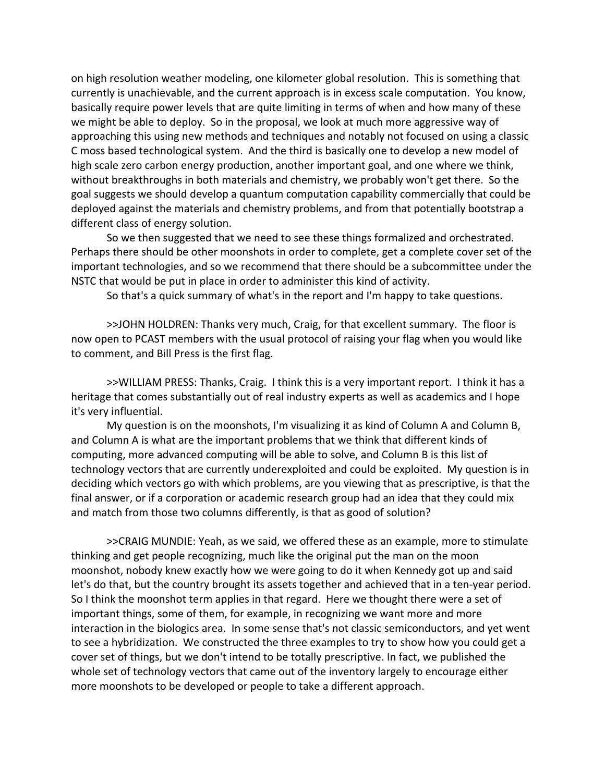on high resolution weather modeling, one kilometer global resolution. This is something that currently is unachievable, and the current approach is in excess scale computation. You know, basically require power levels that are quite limiting in terms of when and how many of these we might be able to deploy. So in the proposal, we look at much more aggressive way of approaching this using new methods and techniques and notably not focused on using a classic C moss based technological system. And the third is basically one to develop a new model of high scale zero carbon energy production, another important goal, and one where we think, without breakthroughs in both materials and chemistry, we probably won't get there. So the goal suggests we should develop a quantum computation capability commercially that could be deployed against the materials and chemistry problems, and from that potentially bootstrap a different class of energy solution.

So we then suggested that we need to see these things formalized and orchestrated. Perhaps there should be other moonshots in order to complete, get a complete cover set of the important technologies, and so we recommend that there should be a subcommittee under the NSTC that would be put in place in order to administer this kind of activity.

So that's a quick summary of what's in the report and I'm happy to take questions.

>>JOHN HOLDREN: Thanks very much, Craig, for that excellent summary. The floor is now open to PCAST members with the usual protocol of raising your flag when you would like to comment, and Bill Press is the first flag.

>>WILLIAM PRESS: Thanks, Craig. I think this is a very important report. I think it has a heritage that comes substantially out of real industry experts as well as academics and I hope it's very influential.

My question is on the moonshots, I'm visualizing it as kind of Column A and Column B, and Column A is what are the important problems that we think that different kinds of computing, more advanced computing will be able to solve, and Column B is this list of technology vectors that are currently underexploited and could be exploited. My question is in deciding which vectors go with which problems, are you viewing that as prescriptive, is that the final answer, or if a corporation or academic research group had an idea that they could mix and match from those two columns differently, is that as good of solution?

>>CRAIG MUNDIE: Yeah, as we said, we offered these as an example, more to stimulate thinking and get people recognizing, much like the original put the man on the moon moonshot, nobody knew exactly how we were going to do it when Kennedy got up and said let's do that, but the country brought its assets together and achieved that in a ten‐year period. So I think the moonshot term applies in that regard. Here we thought there were a set of important things, some of them, for example, in recognizing we want more and more interaction in the biologics area. In some sense that's not classic semiconductors, and yet went to see a hybridization. We constructed the three examples to try to show how you could get a cover set of things, but we don't intend to be totally prescriptive. In fact, we published the whole set of technology vectors that came out of the inventory largely to encourage either more moonshots to be developed or people to take a different approach.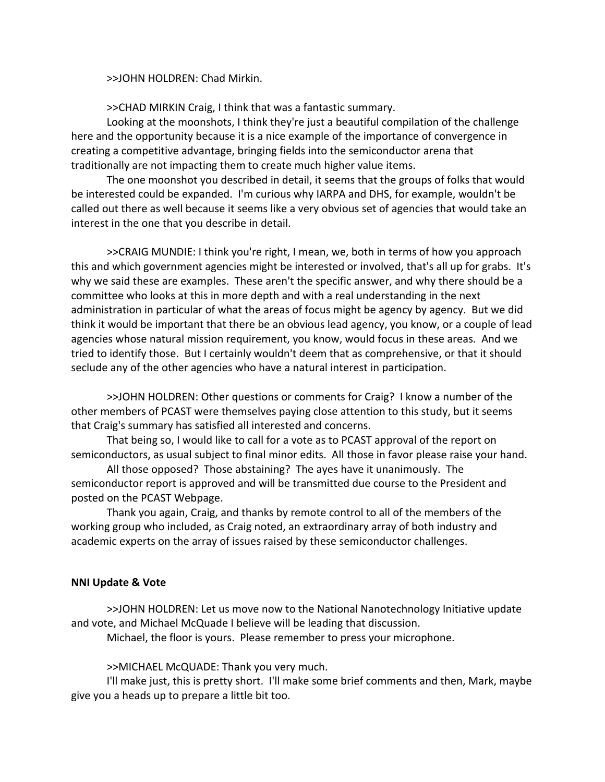>>JOHN HOLDREN: Chad Mirkin.

>>CHAD MIRKIN Craig, I think that was a fantastic summary.

Looking at the moonshots, I think they're just a beautiful compilation of the challenge here and the opportunity because it is a nice example of the importance of convergence in creating a competitive advantage, bringing fields into the semiconductor arena that traditionally are not impacting them to create much higher value items.

The one moonshot you described in detail, it seems that the groups of folks that would be interested could be expanded. I'm curious why IARPA and DHS, for example, wouldn't be called out there as well because it seems like a very obvious set of agencies that would take an interest in the one that you describe in detail.

>>CRAIG MUNDIE: I think you're right, I mean, we, both in terms of how you approach this and which government agencies might be interested or involved, that's all up for grabs. It's why we said these are examples. These aren't the specific answer, and why there should be a committee who looks at this in more depth and with a real understanding in the next administration in particular of what the areas of focus might be agency by agency. But we did think it would be important that there be an obvious lead agency, you know, or a couple of lead agencies whose natural mission requirement, you know, would focus in these areas. And we tried to identify those. But I certainly wouldn't deem that as comprehensive, or that it should seclude any of the other agencies who have a natural interest in participation.

>>JOHN HOLDREN: Other questions or comments for Craig? I know a number of the other members of PCAST were themselves paying close attention to this study, but it seems that Craig's summary has satisfied all interested and concerns.

That being so, I would like to call for a vote as to PCAST approval of the report on semiconductors, as usual subject to final minor edits. All those in favor please raise your hand.

All those opposed? Those abstaining? The ayes have it unanimously. The semiconductor report is approved and will be transmitted due course to the President and posted on the PCAST Webpage.

Thank you again, Craig, and thanks by remote control to all of the members of the working group who included, as Craig noted, an extraordinary array of both industry and academic experts on the array of issues raised by these semiconductor challenges.

# **NNI Update & Vote**

>>JOHN HOLDREN: Let us move now to the National Nanotechnology Initiative update and vote, and Michael McQuade I believe will be leading that discussion.

Michael, the floor is yours. Please remember to press your microphone.

>>MICHAEL McQUADE: Thank you very much.

I'll make just, this is pretty short. I'll make some brief comments and then, Mark, maybe give you a heads up to prepare a little bit too.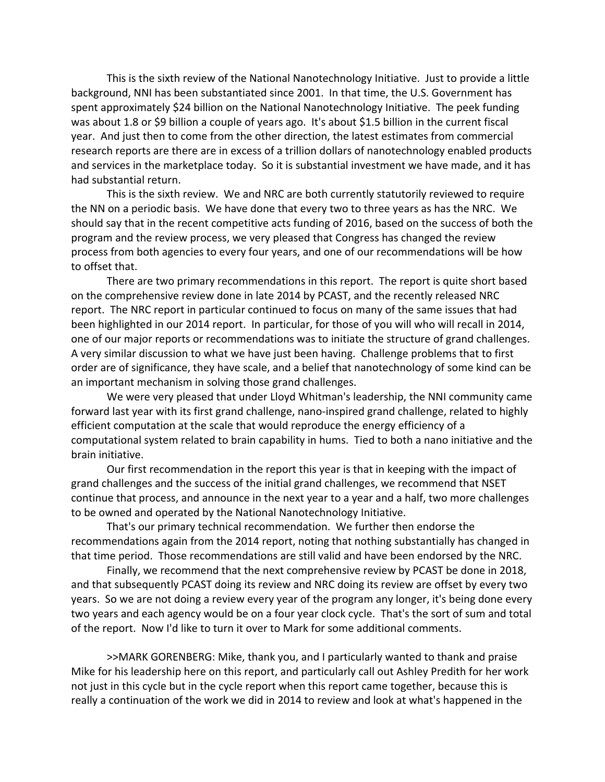This is the sixth review of the National Nanotechnology Initiative. Just to provide a little background, NNI has been substantiated since 2001. In that time, the U.S. Government has spent approximately \$24 billion on the National Nanotechnology Initiative. The peek funding was about 1.8 or \$9 billion a couple of years ago. It's about \$1.5 billion in the current fiscal year. And just then to come from the other direction, the latest estimates from commercial research reports are there are in excess of a trillion dollars of nanotechnology enabled products and services in the marketplace today. So it is substantial investment we have made, and it has had substantial return.

This is the sixth review. We and NRC are both currently statutorily reviewed to require the NN on a periodic basis. We have done that every two to three years as has the NRC. We should say that in the recent competitive acts funding of 2016, based on the success of both the program and the review process, we very pleased that Congress has changed the review process from both agencies to every four years, and one of our recommendations will be how to offset that.

There are two primary recommendations in this report. The report is quite short based on the comprehensive review done in late 2014 by PCAST, and the recently released NRC report. The NRC report in particular continued to focus on many of the same issues that had been highlighted in our 2014 report. In particular, for those of you will who will recall in 2014, one of our major reports or recommendations was to initiate the structure of grand challenges. A very similar discussion to what we have just been having. Challenge problems that to first order are of significance, they have scale, and a belief that nanotechnology of some kind can be an important mechanism in solving those grand challenges.

We were very pleased that under Lloyd Whitman's leadership, the NNI community came forward last year with its first grand challenge, nano‐inspired grand challenge, related to highly efficient computation at the scale that would reproduce the energy efficiency of a computational system related to brain capability in hums. Tied to both a nano initiative and the brain initiative.

Our first recommendation in the report this year is that in keeping with the impact of grand challenges and the success of the initial grand challenges, we recommend that NSET continue that process, and announce in the next year to a year and a half, two more challenges to be owned and operated by the National Nanotechnology Initiative.

That's our primary technical recommendation. We further then endorse the recommendations again from the 2014 report, noting that nothing substantially has changed in that time period. Those recommendations are still valid and have been endorsed by the NRC.

Finally, we recommend that the next comprehensive review by PCAST be done in 2018, and that subsequently PCAST doing its review and NRC doing its review are offset by every two years. So we are not doing a review every year of the program any longer, it's being done every two years and each agency would be on a four year clock cycle. That's the sort of sum and total of the report. Now I'd like to turn it over to Mark for some additional comments.

>>MARK GORENBERG: Mike, thank you, and I particularly wanted to thank and praise Mike for his leadership here on this report, and particularly call out Ashley Predith for her work not just in this cycle but in the cycle report when this report came together, because this is really a continuation of the work we did in 2014 to review and look at what's happened in the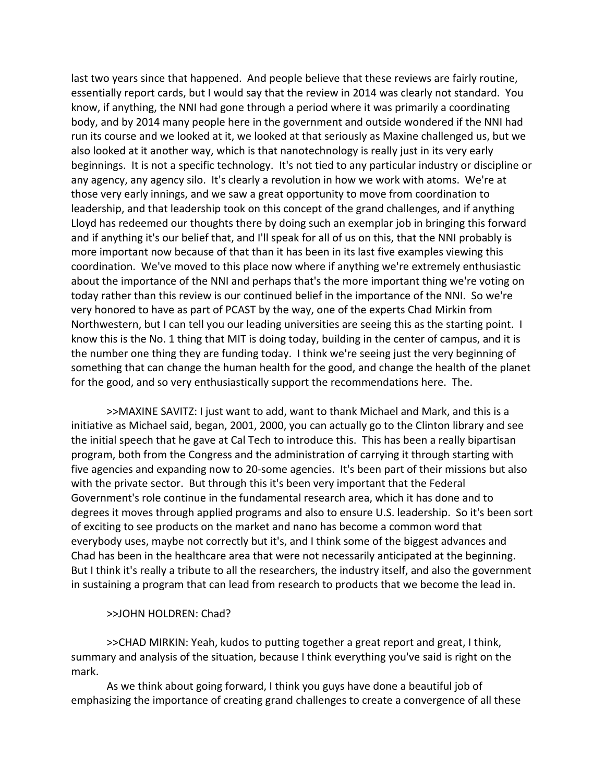last two years since that happened. And people believe that these reviews are fairly routine, essentially report cards, but I would say that the review in 2014 was clearly not standard. You know, if anything, the NNI had gone through a period where it was primarily a coordinating body, and by 2014 many people here in the government and outside wondered if the NNI had run its course and we looked at it, we looked at that seriously as Maxine challenged us, but we also looked at it another way, which is that nanotechnology is really just in its very early beginnings. It is not a specific technology. It's not tied to any particular industry or discipline or any agency, any agency silo. It's clearly a revolution in how we work with atoms. We're at those very early innings, and we saw a great opportunity to move from coordination to leadership, and that leadership took on this concept of the grand challenges, and if anything Lloyd has redeemed our thoughts there by doing such an exemplar job in bringing this forward and if anything it's our belief that, and I'll speak for all of us on this, that the NNI probably is more important now because of that than it has been in its last five examples viewing this coordination. We've moved to this place now where if anything we're extremely enthusiastic about the importance of the NNI and perhaps that's the more important thing we're voting on today rather than this review is our continued belief in the importance of the NNI. So we're very honored to have as part of PCAST by the way, one of the experts Chad Mirkin from Northwestern, but I can tell you our leading universities are seeing this as the starting point. I know this is the No. 1 thing that MIT is doing today, building in the center of campus, and it is the number one thing they are funding today. I think we're seeing just the very beginning of something that can change the human health for the good, and change the health of the planet for the good, and so very enthusiastically support the recommendations here. The.

>>MAXINE SAVITZ: I just want to add, want to thank Michael and Mark, and this is a initiative as Michael said, began, 2001, 2000, you can actually go to the Clinton library and see the initial speech that he gave at Cal Tech to introduce this. This has been a really bipartisan program, both from the Congress and the administration of carrying it through starting with five agencies and expanding now to 20-some agencies. It's been part of their missions but also with the private sector. But through this it's been very important that the Federal Government's role continue in the fundamental research area, which it has done and to degrees it moves through applied programs and also to ensure U.S. leadership. So it's been sort of exciting to see products on the market and nano has become a common word that everybody uses, maybe not correctly but it's, and I think some of the biggest advances and Chad has been in the healthcare area that were not necessarily anticipated at the beginning. But I think it's really a tribute to all the researchers, the industry itself, and also the government in sustaining a program that can lead from research to products that we become the lead in.

# >>JOHN HOLDREN: Chad?

>>CHAD MIRKIN: Yeah, kudos to putting together a great report and great, I think, summary and analysis of the situation, because I think everything you've said is right on the mark.

As we think about going forward, I think you guys have done a beautiful job of emphasizing the importance of creating grand challenges to create a convergence of all these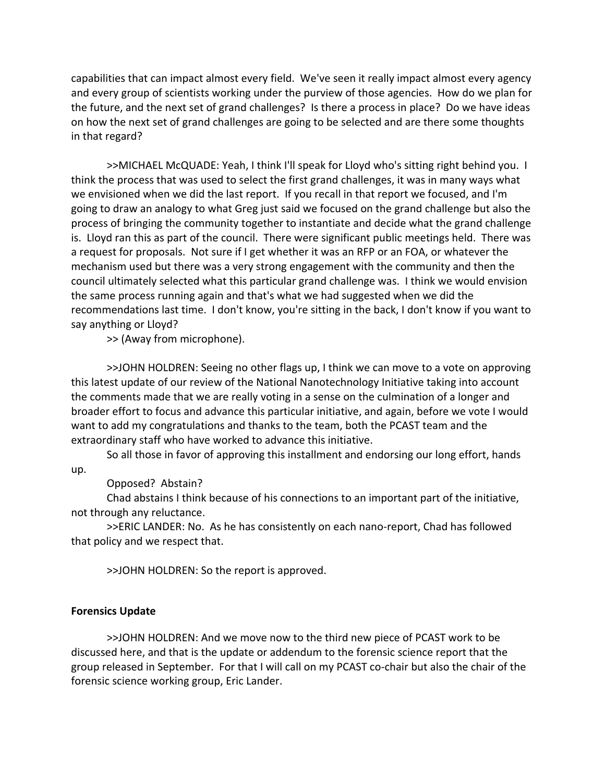capabilities that can impact almost every field. We've seen it really impact almost every agency and every group of scientists working under the purview of those agencies. How do we plan for the future, and the next set of grand challenges? Is there a process in place? Do we have ideas on how the next set of grand challenges are going to be selected and are there some thoughts in that regard?

>>MICHAEL McQUADE: Yeah, I think I'll speak for Lloyd who's sitting right behind you. I think the process that was used to select the first grand challenges, it was in many ways what we envisioned when we did the last report. If you recall in that report we focused, and I'm going to draw an analogy to what Greg just said we focused on the grand challenge but also the process of bringing the community together to instantiate and decide what the grand challenge is. Lloyd ran this as part of the council. There were significant public meetings held. There was a request for proposals. Not sure if I get whether it was an RFP or an FOA, or whatever the mechanism used but there was a very strong engagement with the community and then the council ultimately selected what this particular grand challenge was. I think we would envision the same process running again and that's what we had suggested when we did the recommendations last time. I don't know, you're sitting in the back, I don't know if you want to say anything or Lloyd?

>> (Away from microphone).

>>JOHN HOLDREN: Seeing no other flags up, I think we can move to a vote on approving this latest update of our review of the National Nanotechnology Initiative taking into account the comments made that we are really voting in a sense on the culmination of a longer and broader effort to focus and advance this particular initiative, and again, before we vote I would want to add my congratulations and thanks to the team, both the PCAST team and the extraordinary staff who have worked to advance this initiative.

So all those in favor of approving this installment and endorsing our long effort, hands up.

Opposed? Abstain?

Chad abstains I think because of his connections to an important part of the initiative, not through any reluctance.

>>ERIC LANDER: No. As he has consistently on each nano‐report, Chad has followed that policy and we respect that.

>>JOHN HOLDREN: So the report is approved.

# **Forensics Update**

>>JOHN HOLDREN: And we move now to the third new piece of PCAST work to be discussed here, and that is the update or addendum to the forensic science report that the group released in September. For that I will call on my PCAST co‐chair but also the chair of the forensic science working group, Eric Lander.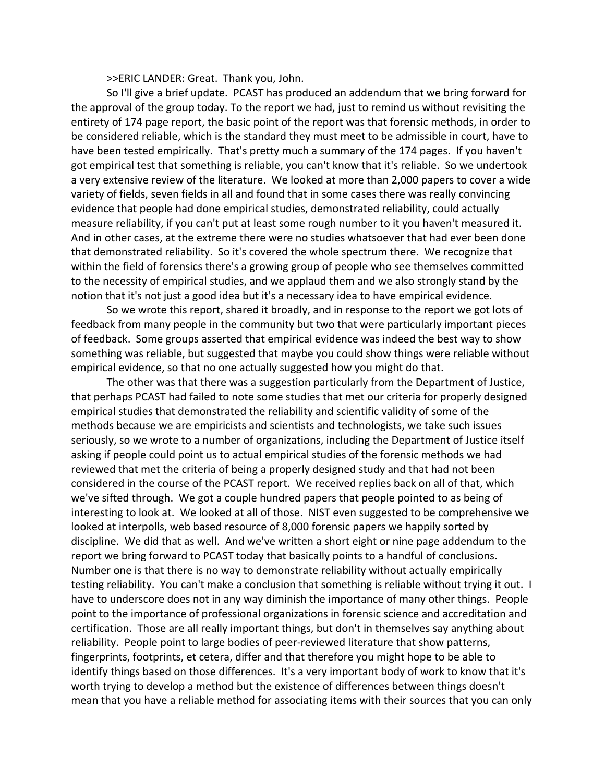>>ERIC LANDER: Great. Thank you, John.

So I'll give a brief update. PCAST has produced an addendum that we bring forward for the approval of the group today. To the report we had, just to remind us without revisiting the entirety of 174 page report, the basic point of the report was that forensic methods, in order to be considered reliable, which is the standard they must meet to be admissible in court, have to have been tested empirically. That's pretty much a summary of the 174 pages. If you haven't got empirical test that something is reliable, you can't know that it's reliable. So we undertook a very extensive review of the literature. We looked at more than 2,000 papers to cover a wide variety of fields, seven fields in all and found that in some cases there was really convincing evidence that people had done empirical studies, demonstrated reliability, could actually measure reliability, if you can't put at least some rough number to it you haven't measured it. And in other cases, at the extreme there were no studies whatsoever that had ever been done that demonstrated reliability. So it's covered the whole spectrum there. We recognize that within the field of forensics there's a growing group of people who see themselves committed to the necessity of empirical studies, and we applaud them and we also strongly stand by the notion that it's not just a good idea but it's a necessary idea to have empirical evidence.

So we wrote this report, shared it broadly, and in response to the report we got lots of feedback from many people in the community but two that were particularly important pieces of feedback. Some groups asserted that empirical evidence was indeed the best way to show something was reliable, but suggested that maybe you could show things were reliable without empirical evidence, so that no one actually suggested how you might do that.

The other was that there was a suggestion particularly from the Department of Justice, that perhaps PCAST had failed to note some studies that met our criteria for properly designed empirical studies that demonstrated the reliability and scientific validity of some of the methods because we are empiricists and scientists and technologists, we take such issues seriously, so we wrote to a number of organizations, including the Department of Justice itself asking if people could point us to actual empirical studies of the forensic methods we had reviewed that met the criteria of being a properly designed study and that had not been considered in the course of the PCAST report. We received replies back on all of that, which we've sifted through. We got a couple hundred papers that people pointed to as being of interesting to look at. We looked at all of those. NIST even suggested to be comprehensive we looked at interpolls, web based resource of 8,000 forensic papers we happily sorted by discipline. We did that as well. And we've written a short eight or nine page addendum to the report we bring forward to PCAST today that basically points to a handful of conclusions. Number one is that there is no way to demonstrate reliability without actually empirically testing reliability. You can't make a conclusion that something is reliable without trying it out. I have to underscore does not in any way diminish the importance of many other things. People point to the importance of professional organizations in forensic science and accreditation and certification. Those are all really important things, but don't in themselves say anything about reliability. People point to large bodies of peer-reviewed literature that show patterns, fingerprints, footprints, et cetera, differ and that therefore you might hope to be able to identify things based on those differences. It's a very important body of work to know that it's worth trying to develop a method but the existence of differences between things doesn't mean that you have a reliable method for associating items with their sources that you can only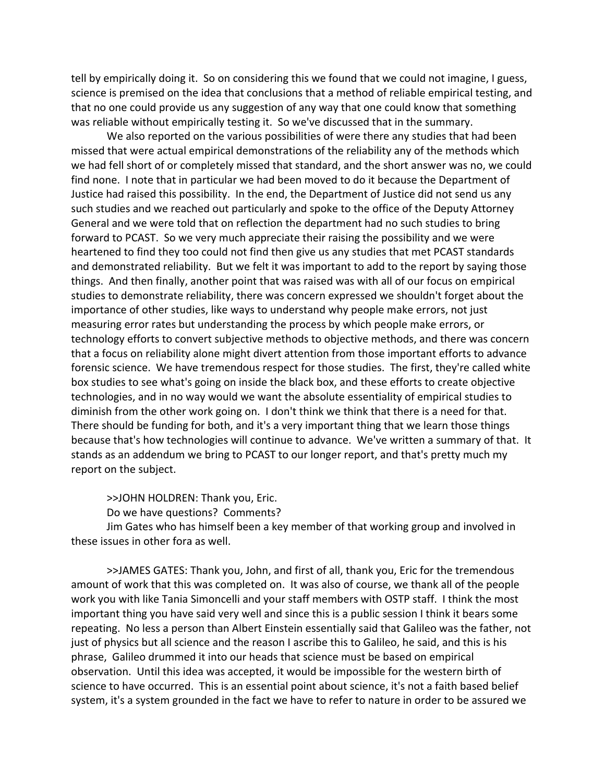tell by empirically doing it. So on considering this we found that we could not imagine, I guess, science is premised on the idea that conclusions that a method of reliable empirical testing, and that no one could provide us any suggestion of any way that one could know that something was reliable without empirically testing it. So we've discussed that in the summary.

We also reported on the various possibilities of were there any studies that had been missed that were actual empirical demonstrations of the reliability any of the methods which we had fell short of or completely missed that standard, and the short answer was no, we could find none. I note that in particular we had been moved to do it because the Department of Justice had raised this possibility. In the end, the Department of Justice did not send us any such studies and we reached out particularly and spoke to the office of the Deputy Attorney General and we were told that on reflection the department had no such studies to bring forward to PCAST. So we very much appreciate their raising the possibility and we were heartened to find they too could not find then give us any studies that met PCAST standards and demonstrated reliability. But we felt it was important to add to the report by saying those things. And then finally, another point that was raised was with all of our focus on empirical studies to demonstrate reliability, there was concern expressed we shouldn't forget about the importance of other studies, like ways to understand why people make errors, not just measuring error rates but understanding the process by which people make errors, or technology efforts to convert subjective methods to objective methods, and there was concern that a focus on reliability alone might divert attention from those important efforts to advance forensic science. We have tremendous respect for those studies. The first, they're called white box studies to see what's going on inside the black box, and these efforts to create objective technologies, and in no way would we want the absolute essentiality of empirical studies to diminish from the other work going on. I don't think we think that there is a need for that. There should be funding for both, and it's a very important thing that we learn those things because that's how technologies will continue to advance. We've written a summary of that. It stands as an addendum we bring to PCAST to our longer report, and that's pretty much my report on the subject.

>>JOHN HOLDREN: Thank you, Eric.

Do we have questions? Comments?

Jim Gates who has himself been a key member of that working group and involved in these issues in other fora as well.

>>JAMES GATES: Thank you, John, and first of all, thank you, Eric for the tremendous amount of work that this was completed on. It was also of course, we thank all of the people work you with like Tania Simoncelli and your staff members with OSTP staff. I think the most important thing you have said very well and since this is a public session I think it bears some repeating. No less a person than Albert Einstein essentially said that Galileo was the father, not just of physics but all science and the reason I ascribe this to Galileo, he said, and this is his phrase, Galileo drummed it into our heads that science must be based on empirical observation. Until this idea was accepted, it would be impossible for the western birth of science to have occurred. This is an essential point about science, it's not a faith based belief system, it's a system grounded in the fact we have to refer to nature in order to be assured we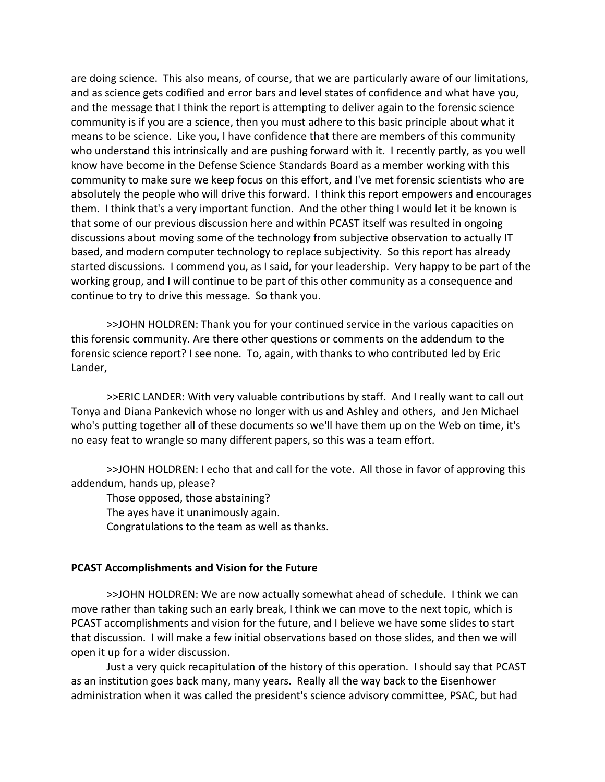are doing science. This also means, of course, that we are particularly aware of our limitations, and as science gets codified and error bars and level states of confidence and what have you, and the message that I think the report is attempting to deliver again to the forensic science community is if you are a science, then you must adhere to this basic principle about what it means to be science. Like you, I have confidence that there are members of this community who understand this intrinsically and are pushing forward with it. I recently partly, as you well know have become in the Defense Science Standards Board as a member working with this community to make sure we keep focus on this effort, and I've met forensic scientists who are absolutely the people who will drive this forward. I think this report empowers and encourages them. I think that's a very important function. And the other thing I would let it be known is that some of our previous discussion here and within PCAST itself was resulted in ongoing discussions about moving some of the technology from subjective observation to actually IT based, and modern computer technology to replace subjectivity. So this report has already started discussions. I commend you, as I said, for your leadership. Very happy to be part of the working group, and I will continue to be part of this other community as a consequence and continue to try to drive this message. So thank you.

>>JOHN HOLDREN: Thank you for your continued service in the various capacities on this forensic community. Are there other questions or comments on the addendum to the forensic science report? I see none. To, again, with thanks to who contributed led by Eric Lander,

>>ERIC LANDER: With very valuable contributions by staff. And I really want to call out Tonya and Diana Pankevich whose no longer with us and Ashley and others, and Jen Michael who's putting together all of these documents so we'll have them up on the Web on time, it's no easy feat to wrangle so many different papers, so this was a team effort.

>>JOHN HOLDREN: I echo that and call for the vote. All those in favor of approving this addendum, hands up, please?

Those opposed, those abstaining? The ayes have it unanimously again. Congratulations to the team as well as thanks.

# **PCAST Accomplishments and Vision for the Future**

>>JOHN HOLDREN: We are now actually somewhat ahead of schedule. I think we can move rather than taking such an early break, I think we can move to the next topic, which is PCAST accomplishments and vision for the future, and I believe we have some slides to start that discussion. I will make a few initial observations based on those slides, and then we will open it up for a wider discussion.

Just a very quick recapitulation of the history of this operation. I should say that PCAST as an institution goes back many, many years. Really all the way back to the Eisenhower administration when it was called the president's science advisory committee, PSAC, but had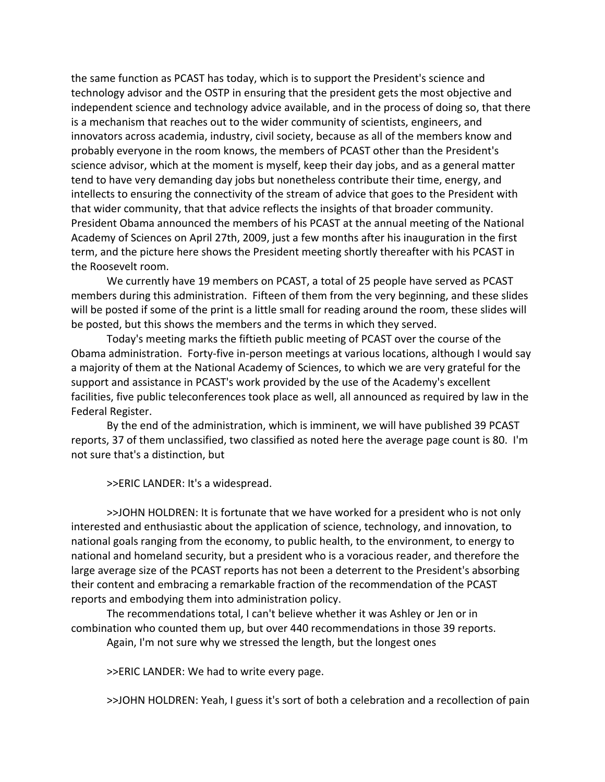the same function as PCAST has today, which is to support the President's science and technology advisor and the OSTP in ensuring that the president gets the most objective and independent science and technology advice available, and in the process of doing so, that there is a mechanism that reaches out to the wider community of scientists, engineers, and innovators across academia, industry, civil society, because as all of the members know and probably everyone in the room knows, the members of PCAST other than the President's science advisor, which at the moment is myself, keep their day jobs, and as a general matter tend to have very demanding day jobs but nonetheless contribute their time, energy, and intellects to ensuring the connectivity of the stream of advice that goes to the President with that wider community, that that advice reflects the insights of that broader community. President Obama announced the members of his PCAST at the annual meeting of the National Academy of Sciences on April 27th, 2009, just a few months after his inauguration in the first term, and the picture here shows the President meeting shortly thereafter with his PCAST in the Roosevelt room.

We currently have 19 members on PCAST, a total of 25 people have served as PCAST members during this administration. Fifteen of them from the very beginning, and these slides will be posted if some of the print is a little small for reading around the room, these slides will be posted, but this shows the members and the terms in which they served.

Today's meeting marks the fiftieth public meeting of PCAST over the course of the Obama administration. Forty‐five in‐person meetings at various locations, although I would say a majority of them at the National Academy of Sciences, to which we are very grateful for the support and assistance in PCAST's work provided by the use of the Academy's excellent facilities, five public teleconferences took place as well, all announced as required by law in the Federal Register.

By the end of the administration, which is imminent, we will have published 39 PCAST reports, 37 of them unclassified, two classified as noted here the average page count is 80. I'm not sure that's a distinction, but

>>ERIC LANDER: It's a widespread.

>>JOHN HOLDREN: It is fortunate that we have worked for a president who is not only interested and enthusiastic about the application of science, technology, and innovation, to national goals ranging from the economy, to public health, to the environment, to energy to national and homeland security, but a president who is a voracious reader, and therefore the large average size of the PCAST reports has not been a deterrent to the President's absorbing their content and embracing a remarkable fraction of the recommendation of the PCAST reports and embodying them into administration policy.

The recommendations total, I can't believe whether it was Ashley or Jen or in combination who counted them up, but over 440 recommendations in those 39 reports.

Again, I'm not sure why we stressed the length, but the longest ones

>>ERIC LANDER: We had to write every page.

>>JOHN HOLDREN: Yeah, I guess it's sort of both a celebration and a recollection of pain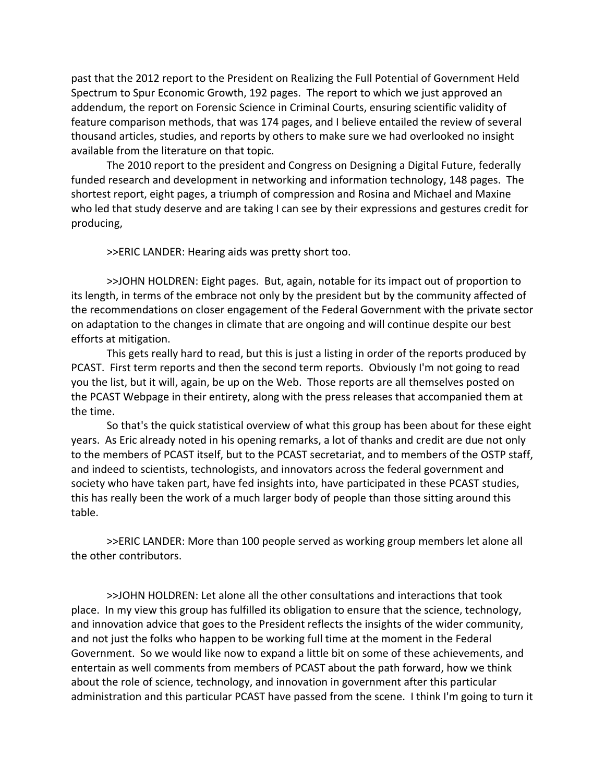past that the 2012 report to the President on Realizing the Full Potential of Government Held Spectrum to Spur Economic Growth, 192 pages. The report to which we just approved an addendum, the report on Forensic Science in Criminal Courts, ensuring scientific validity of feature comparison methods, that was 174 pages, and I believe entailed the review of several thousand articles, studies, and reports by others to make sure we had overlooked no insight available from the literature on that topic.

The 2010 report to the president and Congress on Designing a Digital Future, federally funded research and development in networking and information technology, 148 pages. The shortest report, eight pages, a triumph of compression and Rosina and Michael and Maxine who led that study deserve and are taking I can see by their expressions and gestures credit for producing,

>>ERIC LANDER: Hearing aids was pretty short too.

>>JOHN HOLDREN: Eight pages. But, again, notable for its impact out of proportion to its length, in terms of the embrace not only by the president but by the community affected of the recommendations on closer engagement of the Federal Government with the private sector on adaptation to the changes in climate that are ongoing and will continue despite our best efforts at mitigation.

This gets really hard to read, but this is just a listing in order of the reports produced by PCAST. First term reports and then the second term reports. Obviously I'm not going to read you the list, but it will, again, be up on the Web. Those reports are all themselves posted on the PCAST Webpage in their entirety, along with the press releases that accompanied them at the time.

So that's the quick statistical overview of what this group has been about for these eight years. As Eric already noted in his opening remarks, a lot of thanks and credit are due not only to the members of PCAST itself, but to the PCAST secretariat, and to members of the OSTP staff, and indeed to scientists, technologists, and innovators across the federal government and society who have taken part, have fed insights into, have participated in these PCAST studies, this has really been the work of a much larger body of people than those sitting around this table.

>>ERIC LANDER: More than 100 people served as working group members let alone all the other contributors.

>>JOHN HOLDREN: Let alone all the other consultations and interactions that took place. In my view this group has fulfilled its obligation to ensure that the science, technology, and innovation advice that goes to the President reflects the insights of the wider community, and not just the folks who happen to be working full time at the moment in the Federal Government. So we would like now to expand a little bit on some of these achievements, and entertain as well comments from members of PCAST about the path forward, how we think about the role of science, technology, and innovation in government after this particular administration and this particular PCAST have passed from the scene. I think I'm going to turn it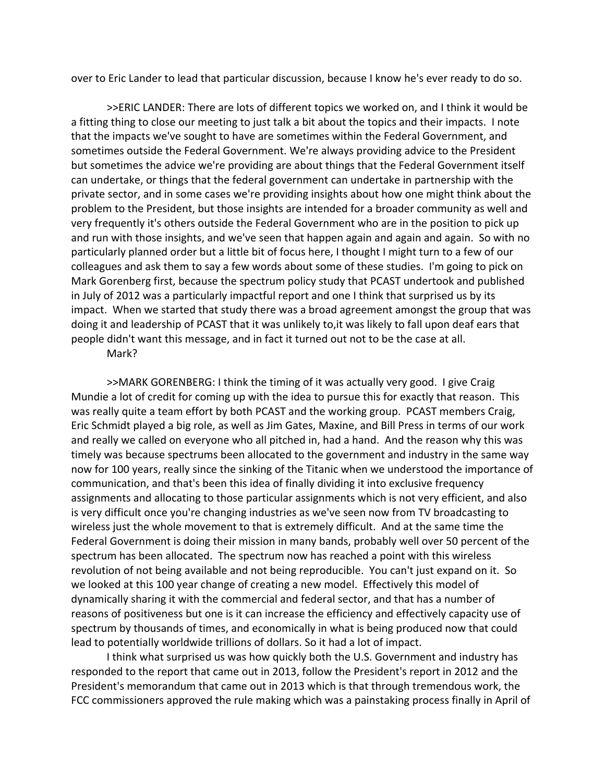over to Eric Lander to lead that particular discussion, because I know he's ever ready to do so.

>>ERIC LANDER: There are lots of different topics we worked on, and I think it would be a fitting thing to close our meeting to just talk a bit about the topics and their impacts. I note that the impacts we've sought to have are sometimes within the Federal Government, and sometimes outside the Federal Government. We're always providing advice to the President but sometimes the advice we're providing are about things that the Federal Government itself can undertake, or things that the federal government can undertake in partnership with the private sector, and in some cases we're providing insights about how one might think about the problem to the President, but those insights are intended for a broader community as well and very frequently it's others outside the Federal Government who are in the position to pick up and run with those insights, and we've seen that happen again and again and again. So with no particularly planned order but a little bit of focus here, I thought I might turn to a few of our colleagues and ask them to say a few words about some of these studies. I'm going to pick on Mark Gorenberg first, because the spectrum policy study that PCAST undertook and published in July of 2012 was a particularly impactful report and one I think that surprised us by its impact. When we started that study there was a broad agreement amongst the group that was doing it and leadership of PCAST that it was unlikely to,it was likely to fall upon deaf ears that people didn't want this message, and in fact it turned out not to be the case at all.

# Mark?

>>MARK GORENBERG: I think the timing of it was actually very good. I give Craig Mundie a lot of credit for coming up with the idea to pursue this for exactly that reason. This was really quite a team effort by both PCAST and the working group. PCAST members Craig, Eric Schmidt played a big role, as well as Jim Gates, Maxine, and Bill Press in terms of our work and really we called on everyone who all pitched in, had a hand. And the reason why this was timely was because spectrums been allocated to the government and industry in the same way now for 100 years, really since the sinking of the Titanic when we understood the importance of communication, and that's been this idea of finally dividing it into exclusive frequency assignments and allocating to those particular assignments which is not very efficient, and also is very difficult once you're changing industries as we've seen now from TV broadcasting to wireless just the whole movement to that is extremely difficult. And at the same time the Federal Government is doing their mission in many bands, probably well over 50 percent of the spectrum has been allocated. The spectrum now has reached a point with this wireless revolution of not being available and not being reproducible. You can't just expand on it. So we looked at this 100 year change of creating a new model. Effectively this model of dynamically sharing it with the commercial and federal sector, and that has a number of reasons of positiveness but one is it can increase the efficiency and effectively capacity use of spectrum by thousands of times, and economically in what is being produced now that could lead to potentially worldwide trillions of dollars. So it had a lot of impact.

I think what surprised us was how quickly both the U.S. Government and industry has responded to the report that came out in 2013, follow the President's report in 2012 and the President's memorandum that came out in 2013 which is that through tremendous work, the FCC commissioners approved the rule making which was a painstaking process finally in April of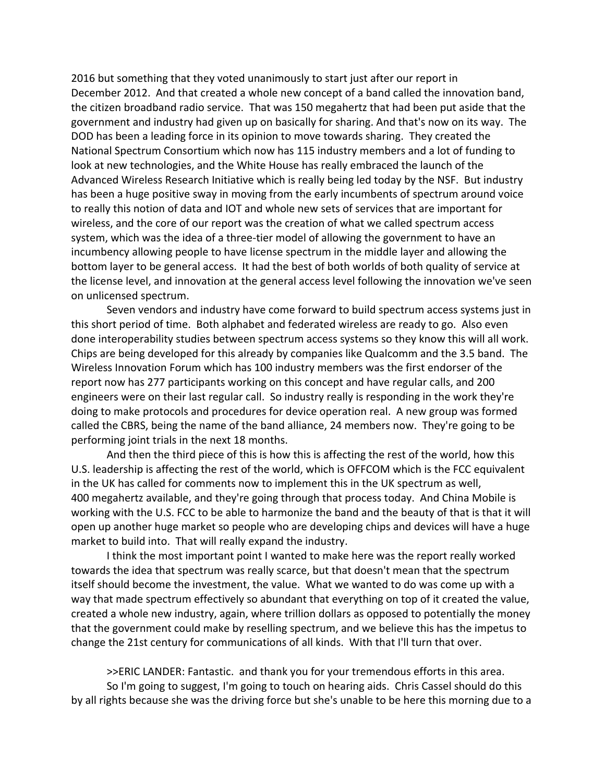2016 but something that they voted unanimously to start just after our report in December 2012. And that created a whole new concept of a band called the innovation band, the citizen broadband radio service. That was 150 megahertz that had been put aside that the government and industry had given up on basically for sharing. And that's now on its way. The DOD has been a leading force in its opinion to move towards sharing. They created the National Spectrum Consortium which now has 115 industry members and a lot of funding to look at new technologies, and the White House has really embraced the launch of the Advanced Wireless Research Initiative which is really being led today by the NSF. But industry has been a huge positive sway in moving from the early incumbents of spectrum around voice to really this notion of data and IOT and whole new sets of services that are important for wireless, and the core of our report was the creation of what we called spectrum access system, which was the idea of a three-tier model of allowing the government to have an incumbency allowing people to have license spectrum in the middle layer and allowing the bottom layer to be general access. It had the best of both worlds of both quality of service at the license level, and innovation at the general access level following the innovation we've seen on unlicensed spectrum.

Seven vendors and industry have come forward to build spectrum access systems just in this short period of time. Both alphabet and federated wireless are ready to go. Also even done interoperability studies between spectrum access systems so they know this will all work. Chips are being developed for this already by companies like Qualcomm and the 3.5 band. The Wireless Innovation Forum which has 100 industry members was the first endorser of the report now has 277 participants working on this concept and have regular calls, and 200 engineers were on their last regular call. So industry really is responding in the work they're doing to make protocols and procedures for device operation real. A new group was formed called the CBRS, being the name of the band alliance, 24 members now. They're going to be performing joint trials in the next 18 months.

And then the third piece of this is how this is affecting the rest of the world, how this U.S. leadership is affecting the rest of the world, which is OFFCOM which is the FCC equivalent in the UK has called for comments now to implement this in the UK spectrum as well, 400 megahertz available, and they're going through that process today. And China Mobile is working with the U.S. FCC to be able to harmonize the band and the beauty of that is that it will open up another huge market so people who are developing chips and devices will have a huge market to build into. That will really expand the industry.

I think the most important point I wanted to make here was the report really worked towards the idea that spectrum was really scarce, but that doesn't mean that the spectrum itself should become the investment, the value. What we wanted to do was come up with a way that made spectrum effectively so abundant that everything on top of it created the value, created a whole new industry, again, where trillion dollars as opposed to potentially the money that the government could make by reselling spectrum, and we believe this has the impetus to change the 21st century for communications of all kinds. With that I'll turn that over.

>>ERIC LANDER: Fantastic. and thank you for your tremendous efforts in this area. So I'm going to suggest, I'm going to touch on hearing aids. Chris Cassel should do this by all rights because she was the driving force but she's unable to be here this morning due to a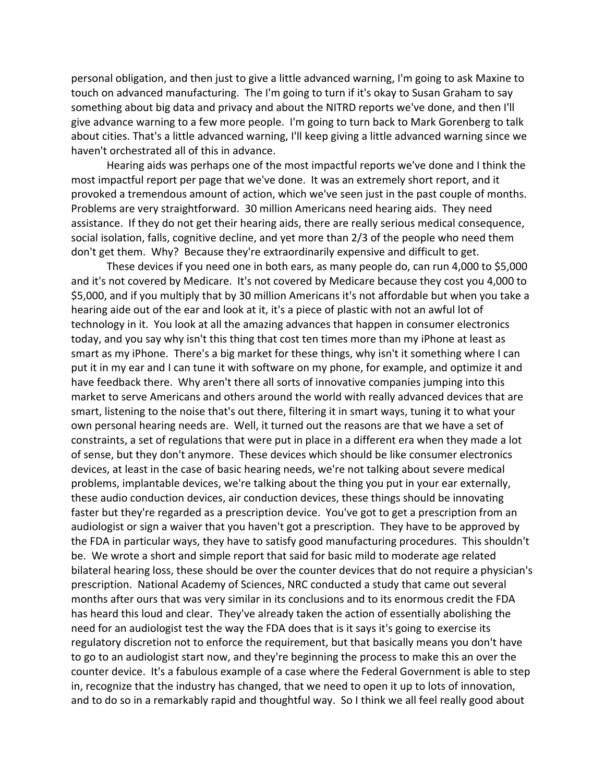personal obligation, and then just to give a little advanced warning, I'm going to ask Maxine to touch on advanced manufacturing. The I'm going to turn if it's okay to Susan Graham to say something about big data and privacy and about the NITRD reports we've done, and then I'll give advance warning to a few more people. I'm going to turn back to Mark Gorenberg to talk about cities. That's a little advanced warning, I'll keep giving a little advanced warning since we haven't orchestrated all of this in advance.

Hearing aids was perhaps one of the most impactful reports we've done and I think the most impactful report per page that we've done. It was an extremely short report, and it provoked a tremendous amount of action, which we've seen just in the past couple of months. Problems are very straightforward. 30 million Americans need hearing aids. They need assistance. If they do not get their hearing aids, there are really serious medical consequence, social isolation, falls, cognitive decline, and yet more than 2/3 of the people who need them don't get them. Why? Because they're extraordinarily expensive and difficult to get.

These devices if you need one in both ears, as many people do, can run 4,000 to \$5,000 and it's not covered by Medicare. It's not covered by Medicare because they cost you 4,000 to \$5,000, and if you multiply that by 30 million Americans it's not affordable but when you take a hearing aide out of the ear and look at it, it's a piece of plastic with not an awful lot of technology in it. You look at all the amazing advances that happen in consumer electronics today, and you say why isn't this thing that cost ten times more than my iPhone at least as smart as my iPhone. There's a big market for these things, why isn't it something where I can put it in my ear and I can tune it with software on my phone, for example, and optimize it and have feedback there. Why aren't there all sorts of innovative companies jumping into this market to serve Americans and others around the world with really advanced devices that are smart, listening to the noise that's out there, filtering it in smart ways, tuning it to what your own personal hearing needs are. Well, it turned out the reasons are that we have a set of constraints, a set of regulations that were put in place in a different era when they made a lot of sense, but they don't anymore. These devices which should be like consumer electronics devices, at least in the case of basic hearing needs, we're not talking about severe medical problems, implantable devices, we're talking about the thing you put in your ear externally, these audio conduction devices, air conduction devices, these things should be innovating faster but they're regarded as a prescription device. You've got to get a prescription from an audiologist or sign a waiver that you haven't got a prescription. They have to be approved by the FDA in particular ways, they have to satisfy good manufacturing procedures. This shouldn't be. We wrote a short and simple report that said for basic mild to moderate age related bilateral hearing loss, these should be over the counter devices that do not require a physician's prescription. National Academy of Sciences, NRC conducted a study that came out several months after ours that was very similar in its conclusions and to its enormous credit the FDA has heard this loud and clear. They've already taken the action of essentially abolishing the need for an audiologist test the way the FDA does that is it says it's going to exercise its regulatory discretion not to enforce the requirement, but that basically means you don't have to go to an audiologist start now, and they're beginning the process to make this an over the counter device. It's a fabulous example of a case where the Federal Government is able to step in, recognize that the industry has changed, that we need to open it up to lots of innovation, and to do so in a remarkably rapid and thoughtful way. So I think we all feel really good about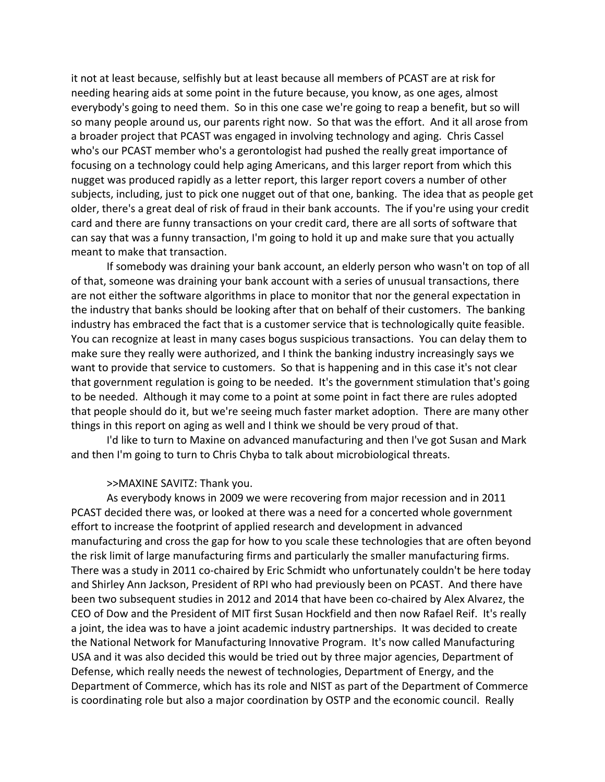it not at least because, selfishly but at least because all members of PCAST are at risk for needing hearing aids at some point in the future because, you know, as one ages, almost everybody's going to need them. So in this one case we're going to reap a benefit, but so will so many people around us, our parents right now. So that was the effort. And it all arose from a broader project that PCAST was engaged in involving technology and aging. Chris Cassel who's our PCAST member who's a gerontologist had pushed the really great importance of focusing on a technology could help aging Americans, and this larger report from which this nugget was produced rapidly as a letter report, this larger report covers a number of other subjects, including, just to pick one nugget out of that one, banking. The idea that as people get older, there's a great deal of risk of fraud in their bank accounts. The if you're using your credit card and there are funny transactions on your credit card, there are all sorts of software that can say that was a funny transaction, I'm going to hold it up and make sure that you actually meant to make that transaction.

If somebody was draining your bank account, an elderly person who wasn't on top of all of that, someone was draining your bank account with a series of unusual transactions, there are not either the software algorithms in place to monitor that nor the general expectation in the industry that banks should be looking after that on behalf of their customers. The banking industry has embraced the fact that is a customer service that is technologically quite feasible. You can recognize at least in many cases bogus suspicious transactions. You can delay them to make sure they really were authorized, and I think the banking industry increasingly says we want to provide that service to customers. So that is happening and in this case it's not clear that government regulation is going to be needed. It's the government stimulation that's going to be needed. Although it may come to a point at some point in fact there are rules adopted that people should do it, but we're seeing much faster market adoption. There are many other things in this report on aging as well and I think we should be very proud of that.

I'd like to turn to Maxine on advanced manufacturing and then I've got Susan and Mark and then I'm going to turn to Chris Chyba to talk about microbiological threats.

# >>MAXINE SAVITZ: Thank you.

As everybody knows in 2009 we were recovering from major recession and in 2011 PCAST decided there was, or looked at there was a need for a concerted whole government effort to increase the footprint of applied research and development in advanced manufacturing and cross the gap for how to you scale these technologies that are often beyond the risk limit of large manufacturing firms and particularly the smaller manufacturing firms. There was a study in 2011 co-chaired by Eric Schmidt who unfortunately couldn't be here today and Shirley Ann Jackson, President of RPI who had previously been on PCAST. And there have been two subsequent studies in 2012 and 2014 that have been co-chaired by Alex Alvarez, the CEO of Dow and the President of MIT first Susan Hockfield and then now Rafael Reif. It's really a joint, the idea was to have a joint academic industry partnerships. It was decided to create the National Network for Manufacturing Innovative Program. It's now called Manufacturing USA and it was also decided this would be tried out by three major agencies, Department of Defense, which really needs the newest of technologies, Department of Energy, and the Department of Commerce, which has its role and NIST as part of the Department of Commerce is coordinating role but also a major coordination by OSTP and the economic council. Really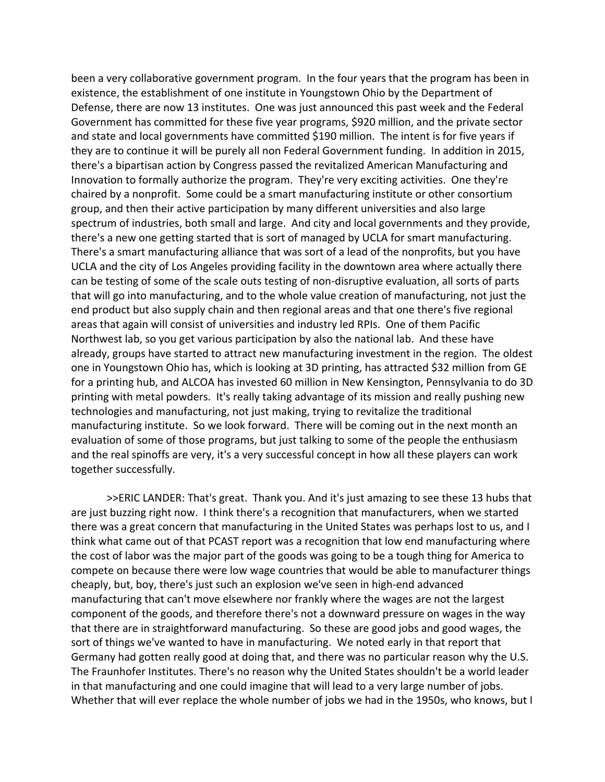been a very collaborative government program. In the four years that the program has been in existence, the establishment of one institute in Youngstown Ohio by the Department of Defense, there are now 13 institutes. One was just announced this past week and the Federal Government has committed for these five year programs, \$920 million, and the private sector and state and local governments have committed \$190 million. The intent is for five years if they are to continue it will be purely all non Federal Government funding. In addition in 2015, there's a bipartisan action by Congress passed the revitalized American Manufacturing and Innovation to formally authorize the program. They're very exciting activities. One they're chaired by a nonprofit. Some could be a smart manufacturing institute or other consortium group, and then their active participation by many different universities and also large spectrum of industries, both small and large. And city and local governments and they provide, there's a new one getting started that is sort of managed by UCLA for smart manufacturing. There's a smart manufacturing alliance that was sort of a lead of the nonprofits, but you have UCLA and the city of Los Angeles providing facility in the downtown area where actually there can be testing of some of the scale outs testing of non‐disruptive evaluation, all sorts of parts that will go into manufacturing, and to the whole value creation of manufacturing, not just the end product but also supply chain and then regional areas and that one there's five regional areas that again will consist of universities and industry led RPIs. One of them Pacific Northwest lab, so you get various participation by also the national lab. And these have already, groups have started to attract new manufacturing investment in the region. The oldest one in Youngstown Ohio has, which is looking at 3D printing, has attracted \$32 million from GE for a printing hub, and ALCOA has invested 60 million in New Kensington, Pennsylvania to do 3D printing with metal powders. It's really taking advantage of its mission and really pushing new technologies and manufacturing, not just making, trying to revitalize the traditional manufacturing institute. So we look forward. There will be coming out in the next month an evaluation of some of those programs, but just talking to some of the people the enthusiasm and the real spinoffs are very, it's a very successful concept in how all these players can work together successfully.

>>ERIC LANDER: That's great. Thank you. And it's just amazing to see these 13 hubs that are just buzzing right now. I think there's a recognition that manufacturers, when we started there was a great concern that manufacturing in the United States was perhaps lost to us, and I think what came out of that PCAST report was a recognition that low end manufacturing where the cost of labor was the major part of the goods was going to be a tough thing for America to compete on because there were low wage countries that would be able to manufacturer things cheaply, but, boy, there's just such an explosion we've seen in high‐end advanced manufacturing that can't move elsewhere nor frankly where the wages are not the largest component of the goods, and therefore there's not a downward pressure on wages in the way that there are in straightforward manufacturing. So these are good jobs and good wages, the sort of things we've wanted to have in manufacturing. We noted early in that report that Germany had gotten really good at doing that, and there was no particular reason why the U.S. The Fraunhofer Institutes. There's no reason why the United States shouldn't be a world leader in that manufacturing and one could imagine that will lead to a very large number of jobs. Whether that will ever replace the whole number of jobs we had in the 1950s, who knows, but I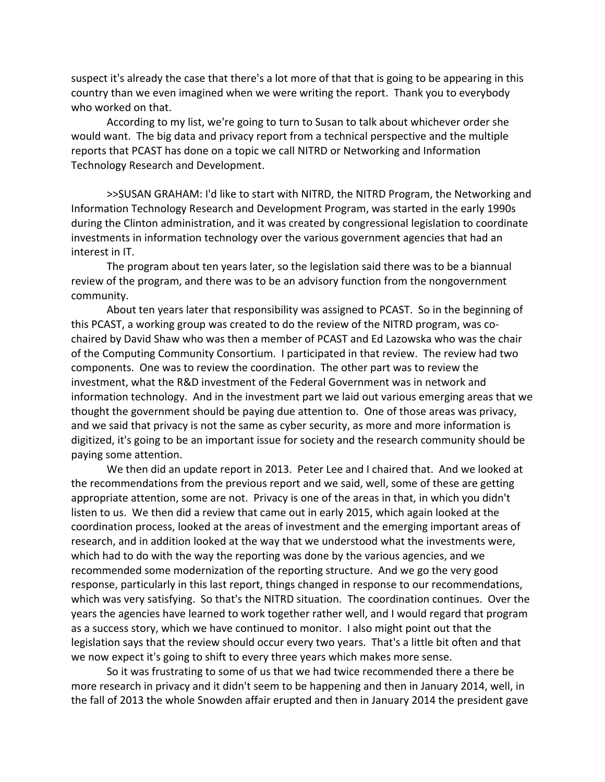suspect it's already the case that there's a lot more of that that is going to be appearing in this country than we even imagined when we were writing the report. Thank you to everybody who worked on that.

According to my list, we're going to turn to Susan to talk about whichever order she would want. The big data and privacy report from a technical perspective and the multiple reports that PCAST has done on a topic we call NITRD or Networking and Information Technology Research and Development.

>>SUSAN GRAHAM: I'd like to start with NITRD, the NITRD Program, the Networking and Information Technology Research and Development Program, was started in the early 1990s during the Clinton administration, and it was created by congressional legislation to coordinate investments in information technology over the various government agencies that had an interest in IT.

The program about ten years later, so the legislation said there was to be a biannual review of the program, and there was to be an advisory function from the nongovernment community.

About ten years later that responsibility was assigned to PCAST. So in the beginning of this PCAST, a working group was created to do the review of the NITRD program, was co‐ chaired by David Shaw who was then a member of PCAST and Ed Lazowska who was the chair of the Computing Community Consortium. I participated in that review. The review had two components. One was to review the coordination. The other part was to review the investment, what the R&D investment of the Federal Government was in network and information technology. And in the investment part we laid out various emerging areas that we thought the government should be paying due attention to. One of those areas was privacy, and we said that privacy is not the same as cyber security, as more and more information is digitized, it's going to be an important issue for society and the research community should be paying some attention.

We then did an update report in 2013. Peter Lee and I chaired that. And we looked at the recommendations from the previous report and we said, well, some of these are getting appropriate attention, some are not. Privacy is one of the areas in that, in which you didn't listen to us. We then did a review that came out in early 2015, which again looked at the coordination process, looked at the areas of investment and the emerging important areas of research, and in addition looked at the way that we understood what the investments were, which had to do with the way the reporting was done by the various agencies, and we recommended some modernization of the reporting structure. And we go the very good response, particularly in this last report, things changed in response to our recommendations, which was very satisfying. So that's the NITRD situation. The coordination continues. Over the years the agencies have learned to work together rather well, and I would regard that program as a success story, which we have continued to monitor. I also might point out that the legislation says that the review should occur every two years. That's a little bit often and that we now expect it's going to shift to every three years which makes more sense.

So it was frustrating to some of us that we had twice recommended there a there be more research in privacy and it didn't seem to be happening and then in January 2014, well, in the fall of 2013 the whole Snowden affair erupted and then in January 2014 the president gave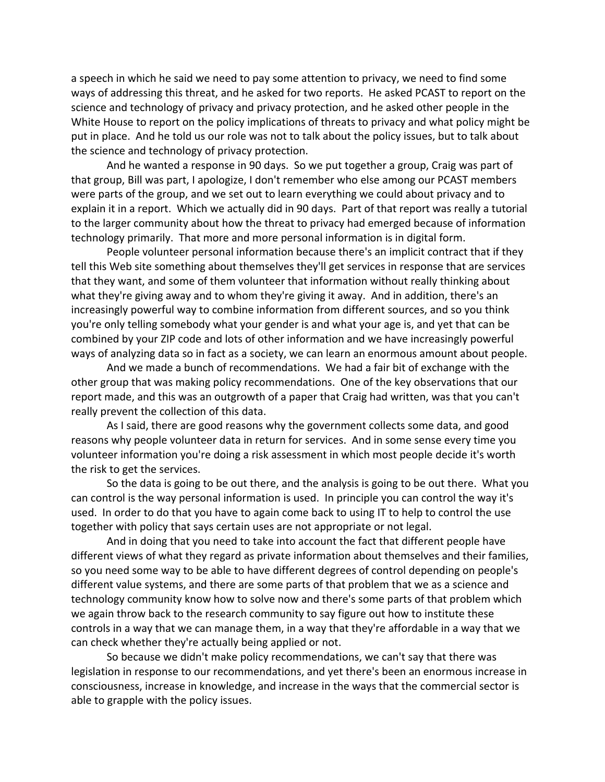a speech in which he said we need to pay some attention to privacy, we need to find some ways of addressing this threat, and he asked for two reports. He asked PCAST to report on the science and technology of privacy and privacy protection, and he asked other people in the White House to report on the policy implications of threats to privacy and what policy might be put in place. And he told us our role was not to talk about the policy issues, but to talk about the science and technology of privacy protection.

And he wanted a response in 90 days. So we put together a group, Craig was part of that group, Bill was part, I apologize, I don't remember who else among our PCAST members were parts of the group, and we set out to learn everything we could about privacy and to explain it in a report. Which we actually did in 90 days. Part of that report was really a tutorial to the larger community about how the threat to privacy had emerged because of information technology primarily. That more and more personal information is in digital form.

People volunteer personal information because there's an implicit contract that if they tell this Web site something about themselves they'll get services in response that are services that they want, and some of them volunteer that information without really thinking about what they're giving away and to whom they're giving it away. And in addition, there's an increasingly powerful way to combine information from different sources, and so you think you're only telling somebody what your gender is and what your age is, and yet that can be combined by your ZIP code and lots of other information and we have increasingly powerful ways of analyzing data so in fact as a society, we can learn an enormous amount about people.

And we made a bunch of recommendations. We had a fair bit of exchange with the other group that was making policy recommendations. One of the key observations that our report made, and this was an outgrowth of a paper that Craig had written, was that you can't really prevent the collection of this data.

As I said, there are good reasons why the government collects some data, and good reasons why people volunteer data in return for services. And in some sense every time you volunteer information you're doing a risk assessment in which most people decide it's worth the risk to get the services.

So the data is going to be out there, and the analysis is going to be out there. What you can control is the way personal information is used. In principle you can control the way it's used. In order to do that you have to again come back to using IT to help to control the use together with policy that says certain uses are not appropriate or not legal.

And in doing that you need to take into account the fact that different people have different views of what they regard as private information about themselves and their families, so you need some way to be able to have different degrees of control depending on people's different value systems, and there are some parts of that problem that we as a science and technology community know how to solve now and there's some parts of that problem which we again throw back to the research community to say figure out how to institute these controls in a way that we can manage them, in a way that they're affordable in a way that we can check whether they're actually being applied or not.

So because we didn't make policy recommendations, we can't say that there was legislation in response to our recommendations, and yet there's been an enormous increase in consciousness, increase in knowledge, and increase in the ways that the commercial sector is able to grapple with the policy issues.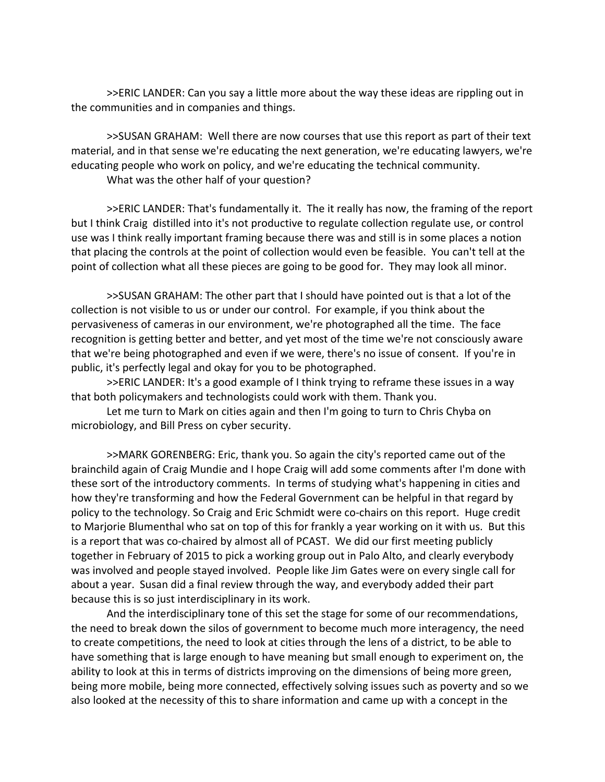>>ERIC LANDER: Can you say a little more about the way these ideas are rippling out in the communities and in companies and things.

>>SUSAN GRAHAM: Well there are now courses that use this report as part of their text material, and in that sense we're educating the next generation, we're educating lawyers, we're educating people who work on policy, and we're educating the technical community.

What was the other half of your question?

>>ERIC LANDER: That's fundamentally it. The it really has now, the framing of the report but I think Craig distilled into it's not productive to regulate collection regulate use, or control use was I think really important framing because there was and still is in some places a notion that placing the controls at the point of collection would even be feasible. You can't tell at the point of collection what all these pieces are going to be good for. They may look all minor.

>>SUSAN GRAHAM: The other part that I should have pointed out is that a lot of the collection is not visible to us or under our control. For example, if you think about the pervasiveness of cameras in our environment, we're photographed all the time. The face recognition is getting better and better, and yet most of the time we're not consciously aware that we're being photographed and even if we were, there's no issue of consent. If you're in public, it's perfectly legal and okay for you to be photographed.

>>ERIC LANDER: It's a good example of I think trying to reframe these issues in a way that both policymakers and technologists could work with them. Thank you.

Let me turn to Mark on cities again and then I'm going to turn to Chris Chyba on microbiology, and Bill Press on cyber security.

>>MARK GORENBERG: Eric, thank you. So again the city's reported came out of the brainchild again of Craig Mundie and I hope Craig will add some comments after I'm done with these sort of the introductory comments. In terms of studying what's happening in cities and how they're transforming and how the Federal Government can be helpful in that regard by policy to the technology. So Craig and Eric Schmidt were co-chairs on this report. Huge credit to Marjorie Blumenthal who sat on top of this for frankly a year working on it with us. But this is a report that was co-chaired by almost all of PCAST. We did our first meeting publicly together in February of 2015 to pick a working group out in Palo Alto, and clearly everybody was involved and people stayed involved. People like Jim Gates were on every single call for about a year. Susan did a final review through the way, and everybody added their part because this is so just interdisciplinary in its work.

And the interdisciplinary tone of this set the stage for some of our recommendations, the need to break down the silos of government to become much more interagency, the need to create competitions, the need to look at cities through the lens of a district, to be able to have something that is large enough to have meaning but small enough to experiment on, the ability to look at this in terms of districts improving on the dimensions of being more green, being more mobile, being more connected, effectively solving issues such as poverty and so we also looked at the necessity of this to share information and came up with a concept in the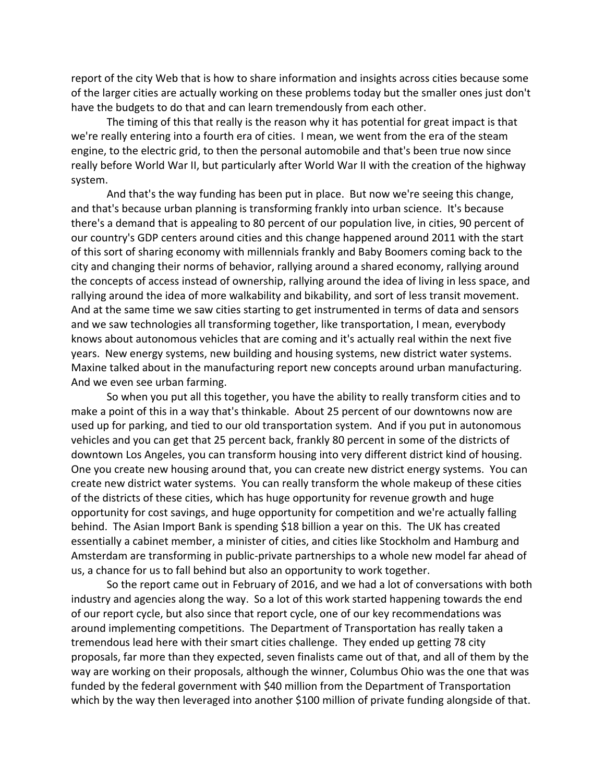report of the city Web that is how to share information and insights across cities because some of the larger cities are actually working on these problems today but the smaller ones just don't have the budgets to do that and can learn tremendously from each other.

The timing of this that really is the reason why it has potential for great impact is that we're really entering into a fourth era of cities. I mean, we went from the era of the steam engine, to the electric grid, to then the personal automobile and that's been true now since really before World War II, but particularly after World War II with the creation of the highway system.

And that's the way funding has been put in place. But now we're seeing this change, and that's because urban planning is transforming frankly into urban science. It's because there's a demand that is appealing to 80 percent of our population live, in cities, 90 percent of our country's GDP centers around cities and this change happened around 2011 with the start of this sort of sharing economy with millennials frankly and Baby Boomers coming back to the city and changing their norms of behavior, rallying around a shared economy, rallying around the concepts of access instead of ownership, rallying around the idea of living in less space, and rallying around the idea of more walkability and bikability, and sort of less transit movement. And at the same time we saw cities starting to get instrumented in terms of data and sensors and we saw technologies all transforming together, like transportation, I mean, everybody knows about autonomous vehicles that are coming and it's actually real within the next five years. New energy systems, new building and housing systems, new district water systems. Maxine talked about in the manufacturing report new concepts around urban manufacturing. And we even see urban farming.

So when you put all this together, you have the ability to really transform cities and to make a point of this in a way that's thinkable. About 25 percent of our downtowns now are used up for parking, and tied to our old transportation system. And if you put in autonomous vehicles and you can get that 25 percent back, frankly 80 percent in some of the districts of downtown Los Angeles, you can transform housing into very different district kind of housing. One you create new housing around that, you can create new district energy systems. You can create new district water systems. You can really transform the whole makeup of these cities of the districts of these cities, which has huge opportunity for revenue growth and huge opportunity for cost savings, and huge opportunity for competition and we're actually falling behind. The Asian Import Bank is spending \$18 billion a year on this. The UK has created essentially a cabinet member, a minister of cities, and cities like Stockholm and Hamburg and Amsterdam are transforming in public‐private partnerships to a whole new model far ahead of us, a chance for us to fall behind but also an opportunity to work together.

So the report came out in February of 2016, and we had a lot of conversations with both industry and agencies along the way. So a lot of this work started happening towards the end of our report cycle, but also since that report cycle, one of our key recommendations was around implementing competitions. The Department of Transportation has really taken a tremendous lead here with their smart cities challenge. They ended up getting 78 city proposals, far more than they expected, seven finalists came out of that, and all of them by the way are working on their proposals, although the winner, Columbus Ohio was the one that was funded by the federal government with \$40 million from the Department of Transportation which by the way then leveraged into another \$100 million of private funding alongside of that.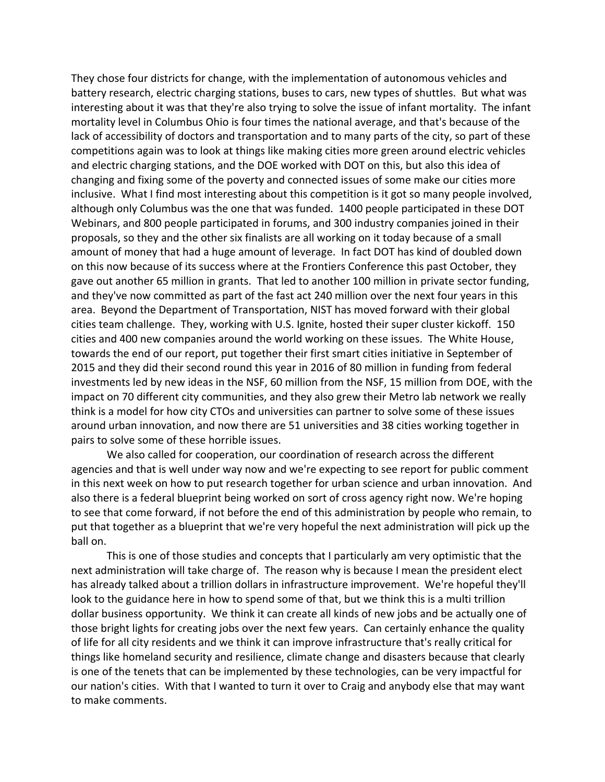They chose four districts for change, with the implementation of autonomous vehicles and battery research, electric charging stations, buses to cars, new types of shuttles. But what was interesting about it was that they're also trying to solve the issue of infant mortality. The infant mortality level in Columbus Ohio is four times the national average, and that's because of the lack of accessibility of doctors and transportation and to many parts of the city, so part of these competitions again was to look at things like making cities more green around electric vehicles and electric charging stations, and the DOE worked with DOT on this, but also this idea of changing and fixing some of the poverty and connected issues of some make our cities more inclusive. What I find most interesting about this competition is it got so many people involved, although only Columbus was the one that was funded. 1400 people participated in these DOT Webinars, and 800 people participated in forums, and 300 industry companies joined in their proposals, so they and the other six finalists are all working on it today because of a small amount of money that had a huge amount of leverage. In fact DOT has kind of doubled down on this now because of its success where at the Frontiers Conference this past October, they gave out another 65 million in grants. That led to another 100 million in private sector funding, and they've now committed as part of the fast act 240 million over the next four years in this area. Beyond the Department of Transportation, NIST has moved forward with their global cities team challenge. They, working with U.S. Ignite, hosted their super cluster kickoff. 150 cities and 400 new companies around the world working on these issues. The White House, towards the end of our report, put together their first smart cities initiative in September of 2015 and they did their second round this year in 2016 of 80 million in funding from federal investments led by new ideas in the NSF, 60 million from the NSF, 15 million from DOE, with the impact on 70 different city communities, and they also grew their Metro lab network we really think is a model for how city CTOs and universities can partner to solve some of these issues around urban innovation, and now there are 51 universities and 38 cities working together in pairs to solve some of these horrible issues.

We also called for cooperation, our coordination of research across the different agencies and that is well under way now and we're expecting to see report for public comment in this next week on how to put research together for urban science and urban innovation. And also there is a federal blueprint being worked on sort of cross agency right now. We're hoping to see that come forward, if not before the end of this administration by people who remain, to put that together as a blueprint that we're very hopeful the next administration will pick up the ball on.

This is one of those studies and concepts that I particularly am very optimistic that the next administration will take charge of. The reason why is because I mean the president elect has already talked about a trillion dollars in infrastructure improvement. We're hopeful they'll look to the guidance here in how to spend some of that, but we think this is a multi trillion dollar business opportunity. We think it can create all kinds of new jobs and be actually one of those bright lights for creating jobs over the next few years. Can certainly enhance the quality of life for all city residents and we think it can improve infrastructure that's really critical for things like homeland security and resilience, climate change and disasters because that clearly is one of the tenets that can be implemented by these technologies, can be very impactful for our nation's cities. With that I wanted to turn it over to Craig and anybody else that may want to make comments.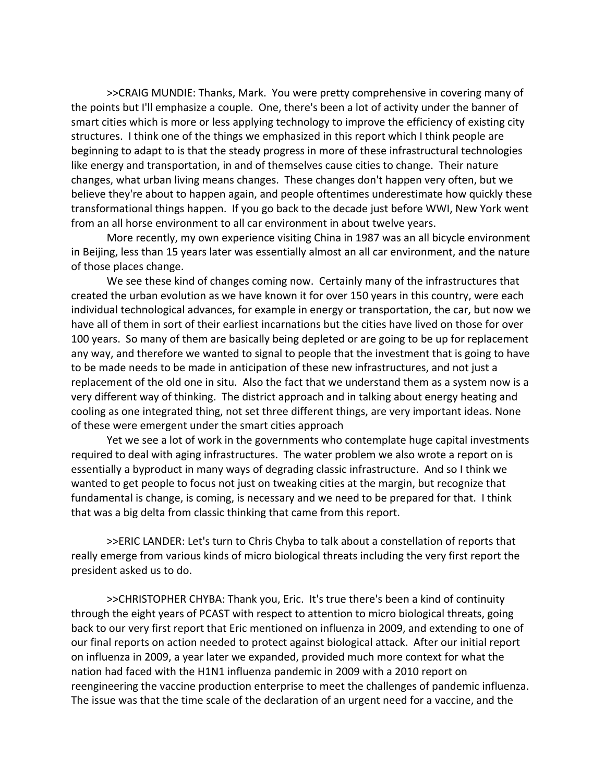>>CRAIG MUNDIE: Thanks, Mark. You were pretty comprehensive in covering many of the points but I'll emphasize a couple. One, there's been a lot of activity under the banner of smart cities which is more or less applying technology to improve the efficiency of existing city structures. I think one of the things we emphasized in this report which I think people are beginning to adapt to is that the steady progress in more of these infrastructural technologies like energy and transportation, in and of themselves cause cities to change. Their nature changes, what urban living means changes. These changes don't happen very often, but we believe they're about to happen again, and people oftentimes underestimate how quickly these transformational things happen. If you go back to the decade just before WWI, New York went from an all horse environment to all car environment in about twelve years.

More recently, my own experience visiting China in 1987 was an all bicycle environment in Beijing, less than 15 years later was essentially almost an all car environment, and the nature of those places change.

We see these kind of changes coming now. Certainly many of the infrastructures that created the urban evolution as we have known it for over 150 years in this country, were each individual technological advances, for example in energy or transportation, the car, but now we have all of them in sort of their earliest incarnations but the cities have lived on those for over 100 years. So many of them are basically being depleted or are going to be up for replacement any way, and therefore we wanted to signal to people that the investment that is going to have to be made needs to be made in anticipation of these new infrastructures, and not just a replacement of the old one in situ. Also the fact that we understand them as a system now is a very different way of thinking. The district approach and in talking about energy heating and cooling as one integrated thing, not set three different things, are very important ideas. None of these were emergent under the smart cities approach

Yet we see a lot of work in the governments who contemplate huge capital investments required to deal with aging infrastructures. The water problem we also wrote a report on is essentially a byproduct in many ways of degrading classic infrastructure. And so I think we wanted to get people to focus not just on tweaking cities at the margin, but recognize that fundamental is change, is coming, is necessary and we need to be prepared for that. I think that was a big delta from classic thinking that came from this report.

>>ERIC LANDER: Let's turn to Chris Chyba to talk about a constellation of reports that really emerge from various kinds of micro biological threats including the very first report the president asked us to do.

>>CHRISTOPHER CHYBA: Thank you, Eric. It's true there's been a kind of continuity through the eight years of PCAST with respect to attention to micro biological threats, going back to our very first report that Eric mentioned on influenza in 2009, and extending to one of our final reports on action needed to protect against biological attack. After our initial report on influenza in 2009, a year later we expanded, provided much more context for what the nation had faced with the H1N1 influenza pandemic in 2009 with a 2010 report on reengineering the vaccine production enterprise to meet the challenges of pandemic influenza. The issue was that the time scale of the declaration of an urgent need for a vaccine, and the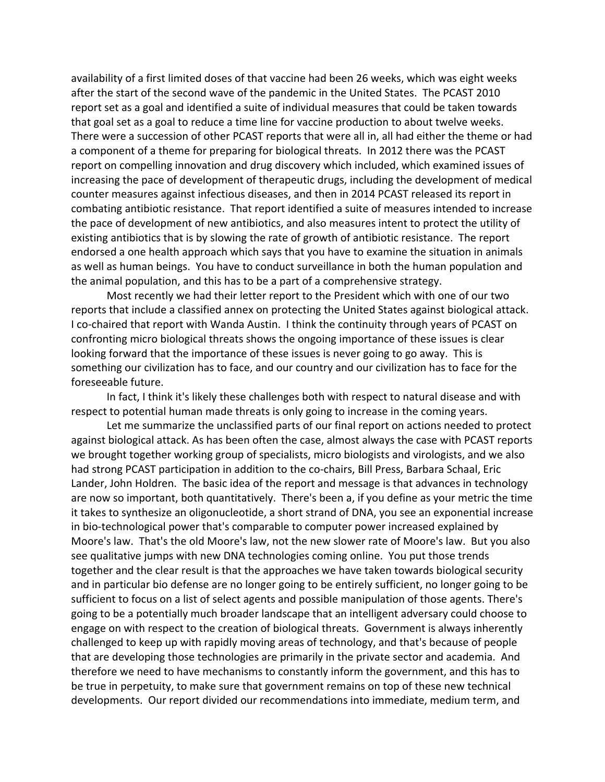availability of a first limited doses of that vaccine had been 26 weeks, which was eight weeks after the start of the second wave of the pandemic in the United States. The PCAST 2010 report set as a goal and identified a suite of individual measures that could be taken towards that goal set as a goal to reduce a time line for vaccine production to about twelve weeks. There were a succession of other PCAST reports that were all in, all had either the theme or had a component of a theme for preparing for biological threats. In 2012 there was the PCAST report on compelling innovation and drug discovery which included, which examined issues of increasing the pace of development of therapeutic drugs, including the development of medical counter measures against infectious diseases, and then in 2014 PCAST released its report in combating antibiotic resistance. That report identified a suite of measures intended to increase the pace of development of new antibiotics, and also measures intent to protect the utility of existing antibiotics that is by slowing the rate of growth of antibiotic resistance. The report endorsed a one health approach which says that you have to examine the situation in animals as well as human beings. You have to conduct surveillance in both the human population and the animal population, and this has to be a part of a comprehensive strategy.

Most recently we had their letter report to the President which with one of our two reports that include a classified annex on protecting the United States against biological attack. I co‐chaired that report with Wanda Austin. I think the continuity through years of PCAST on confronting micro biological threats shows the ongoing importance of these issues is clear looking forward that the importance of these issues is never going to go away. This is something our civilization has to face, and our country and our civilization has to face for the foreseeable future.

In fact, I think it's likely these challenges both with respect to natural disease and with respect to potential human made threats is only going to increase in the coming years.

Let me summarize the unclassified parts of our final report on actions needed to protect against biological attack. As has been often the case, almost always the case with PCAST reports we brought together working group of specialists, micro biologists and virologists, and we also had strong PCAST participation in addition to the co-chairs, Bill Press, Barbara Schaal, Eric Lander, John Holdren. The basic idea of the report and message is that advances in technology are now so important, both quantitatively. There's been a, if you define as your metric the time it takes to synthesize an oligonucleotide, a short strand of DNA, you see an exponential increase in bio‐technological power that's comparable to computer power increased explained by Moore's law. That's the old Moore's law, not the new slower rate of Moore's law. But you also see qualitative jumps with new DNA technologies coming online. You put those trends together and the clear result is that the approaches we have taken towards biological security and in particular bio defense are no longer going to be entirely sufficient, no longer going to be sufficient to focus on a list of select agents and possible manipulation of those agents. There's going to be a potentially much broader landscape that an intelligent adversary could choose to engage on with respect to the creation of biological threats. Government is always inherently challenged to keep up with rapidly moving areas of technology, and that's because of people that are developing those technologies are primarily in the private sector and academia. And therefore we need to have mechanisms to constantly inform the government, and this has to be true in perpetuity, to make sure that government remains on top of these new technical developments. Our report divided our recommendations into immediate, medium term, and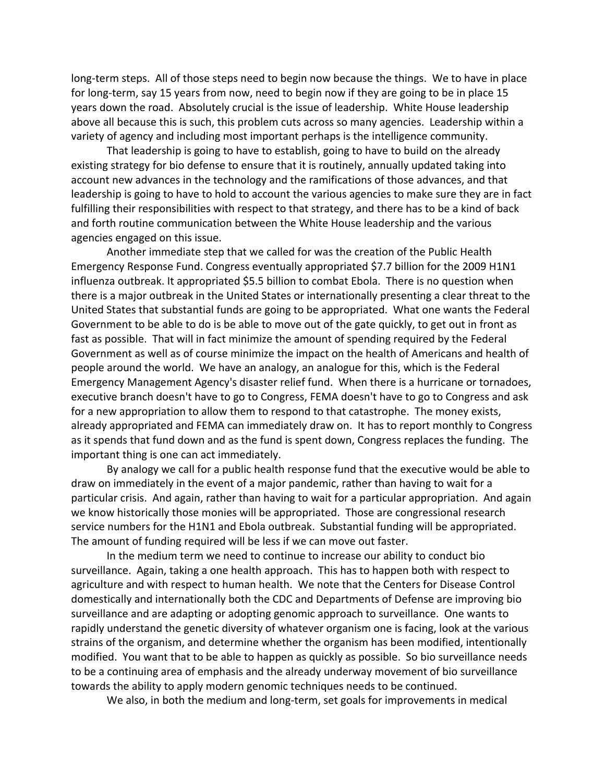long-term steps. All of those steps need to begin now because the things. We to have in place for long-term, say 15 years from now, need to begin now if they are going to be in place 15 years down the road. Absolutely crucial is the issue of leadership. White House leadership above all because this is such, this problem cuts across so many agencies. Leadership within a variety of agency and including most important perhaps is the intelligence community.

That leadership is going to have to establish, going to have to build on the already existing strategy for bio defense to ensure that it is routinely, annually updated taking into account new advances in the technology and the ramifications of those advances, and that leadership is going to have to hold to account the various agencies to make sure they are in fact fulfilling their responsibilities with respect to that strategy, and there has to be a kind of back and forth routine communication between the White House leadership and the various agencies engaged on this issue.

Another immediate step that we called for was the creation of the Public Health Emergency Response Fund. Congress eventually appropriated \$7.7 billion for the 2009 H1N1 influenza outbreak. It appropriated \$5.5 billion to combat Ebola. There is no question when there is a major outbreak in the United States or internationally presenting a clear threat to the United States that substantial funds are going to be appropriated. What one wants the Federal Government to be able to do is be able to move out of the gate quickly, to get out in front as fast as possible. That will in fact minimize the amount of spending required by the Federal Government as well as of course minimize the impact on the health of Americans and health of people around the world. We have an analogy, an analogue for this, which is the Federal Emergency Management Agency's disaster relief fund. When there is a hurricane or tornadoes, executive branch doesn't have to go to Congress, FEMA doesn't have to go to Congress and ask for a new appropriation to allow them to respond to that catastrophe. The money exists, already appropriated and FEMA can immediately draw on. It has to report monthly to Congress as it spends that fund down and as the fund is spent down, Congress replaces the funding. The important thing is one can act immediately.

By analogy we call for a public health response fund that the executive would be able to draw on immediately in the event of a major pandemic, rather than having to wait for a particular crisis. And again, rather than having to wait for a particular appropriation. And again we know historically those monies will be appropriated. Those are congressional research service numbers for the H1N1 and Ebola outbreak. Substantial funding will be appropriated. The amount of funding required will be less if we can move out faster.

In the medium term we need to continue to increase our ability to conduct bio surveillance. Again, taking a one health approach. This has to happen both with respect to agriculture and with respect to human health. We note that the Centers for Disease Control domestically and internationally both the CDC and Departments of Defense are improving bio surveillance and are adapting or adopting genomic approach to surveillance. One wants to rapidly understand the genetic diversity of whatever organism one is facing, look at the various strains of the organism, and determine whether the organism has been modified, intentionally modified. You want that to be able to happen as quickly as possible. So bio surveillance needs to be a continuing area of emphasis and the already underway movement of bio surveillance towards the ability to apply modern genomic techniques needs to be continued.

We also, in both the medium and long-term, set goals for improvements in medical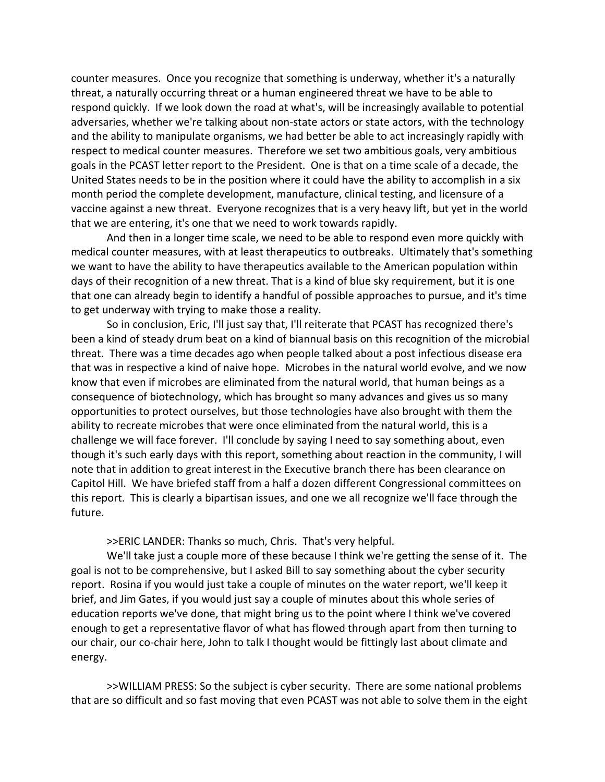counter measures. Once you recognize that something is underway, whether it's a naturally threat, a naturally occurring threat or a human engineered threat we have to be able to respond quickly. If we look down the road at what's, will be increasingly available to potential adversaries, whether we're talking about non‐state actors or state actors, with the technology and the ability to manipulate organisms, we had better be able to act increasingly rapidly with respect to medical counter measures. Therefore we set two ambitious goals, very ambitious goals in the PCAST letter report to the President. One is that on a time scale of a decade, the United States needs to be in the position where it could have the ability to accomplish in a six month period the complete development, manufacture, clinical testing, and licensure of a vaccine against a new threat. Everyone recognizes that is a very heavy lift, but yet in the world that we are entering, it's one that we need to work towards rapidly.

And then in a longer time scale, we need to be able to respond even more quickly with medical counter measures, with at least therapeutics to outbreaks. Ultimately that's something we want to have the ability to have therapeutics available to the American population within days of their recognition of a new threat. That is a kind of blue sky requirement, but it is one that one can already begin to identify a handful of possible approaches to pursue, and it's time to get underway with trying to make those a reality.

So in conclusion, Eric, I'll just say that, I'll reiterate that PCAST has recognized there's been a kind of steady drum beat on a kind of biannual basis on this recognition of the microbial threat. There was a time decades ago when people talked about a post infectious disease era that was in respective a kind of naive hope. Microbes in the natural world evolve, and we now know that even if microbes are eliminated from the natural world, that human beings as a consequence of biotechnology, which has brought so many advances and gives us so many opportunities to protect ourselves, but those technologies have also brought with them the ability to recreate microbes that were once eliminated from the natural world, this is a challenge we will face forever. I'll conclude by saying I need to say something about, even though it's such early days with this report, something about reaction in the community, I will note that in addition to great interest in the Executive branch there has been clearance on Capitol Hill. We have briefed staff from a half a dozen different Congressional committees on this report. This is clearly a bipartisan issues, and one we all recognize we'll face through the future.

>>ERIC LANDER: Thanks so much, Chris. That's very helpful.

We'll take just a couple more of these because I think we're getting the sense of it. The goal is not to be comprehensive, but I asked Bill to say something about the cyber security report. Rosina if you would just take a couple of minutes on the water report, we'll keep it brief, and Jim Gates, if you would just say a couple of minutes about this whole series of education reports we've done, that might bring us to the point where I think we've covered enough to get a representative flavor of what has flowed through apart from then turning to our chair, our co-chair here, John to talk I thought would be fittingly last about climate and energy.

>>WILLIAM PRESS: So the subject is cyber security. There are some national problems that are so difficult and so fast moving that even PCAST was not able to solve them in the eight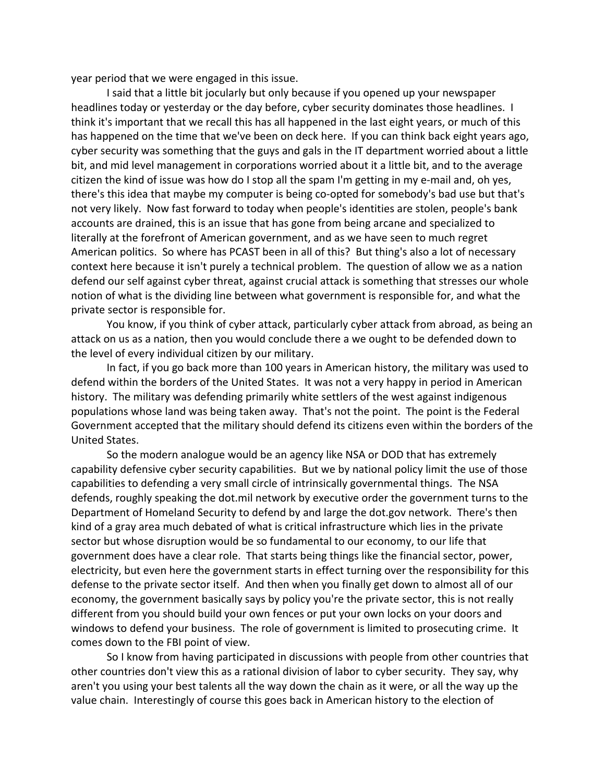year period that we were engaged in this issue.

I said that a little bit jocularly but only because if you opened up your newspaper headlines today or yesterday or the day before, cyber security dominates those headlines. I think it's important that we recall this has all happened in the last eight years, or much of this has happened on the time that we've been on deck here. If you can think back eight years ago, cyber security was something that the guys and gals in the IT department worried about a little bit, and mid level management in corporations worried about it a little bit, and to the average citizen the kind of issue was how do I stop all the spam I'm getting in my e‐mail and, oh yes, there's this idea that maybe my computer is being co-opted for somebody's bad use but that's not very likely. Now fast forward to today when people's identities are stolen, people's bank accounts are drained, this is an issue that has gone from being arcane and specialized to literally at the forefront of American government, and as we have seen to much regret American politics. So where has PCAST been in all of this? But thing's also a lot of necessary context here because it isn't purely a technical problem. The question of allow we as a nation defend our self against cyber threat, against crucial attack is something that stresses our whole notion of what is the dividing line between what government is responsible for, and what the private sector is responsible for.

You know, if you think of cyber attack, particularly cyber attack from abroad, as being an attack on us as a nation, then you would conclude there a we ought to be defended down to the level of every individual citizen by our military.

In fact, if you go back more than 100 years in American history, the military was used to defend within the borders of the United States. It was not a very happy in period in American history. The military was defending primarily white settlers of the west against indigenous populations whose land was being taken away. That's not the point. The point is the Federal Government accepted that the military should defend its citizens even within the borders of the United States.

So the modern analogue would be an agency like NSA or DOD that has extremely capability defensive cyber security capabilities. But we by national policy limit the use of those capabilities to defending a very small circle of intrinsically governmental things. The NSA defends, roughly speaking the dot.mil network by executive order the government turns to the Department of Homeland Security to defend by and large the dot.gov network. There's then kind of a gray area much debated of what is critical infrastructure which lies in the private sector but whose disruption would be so fundamental to our economy, to our life that government does have a clear role. That starts being things like the financial sector, power, electricity, but even here the government starts in effect turning over the responsibility for this defense to the private sector itself. And then when you finally get down to almost all of our economy, the government basically says by policy you're the private sector, this is not really different from you should build your own fences or put your own locks on your doors and windows to defend your business. The role of government is limited to prosecuting crime. It comes down to the FBI point of view.

So I know from having participated in discussions with people from other countries that other countries don't view this as a rational division of labor to cyber security. They say, why aren't you using your best talents all the way down the chain as it were, or all the way up the value chain. Interestingly of course this goes back in American history to the election of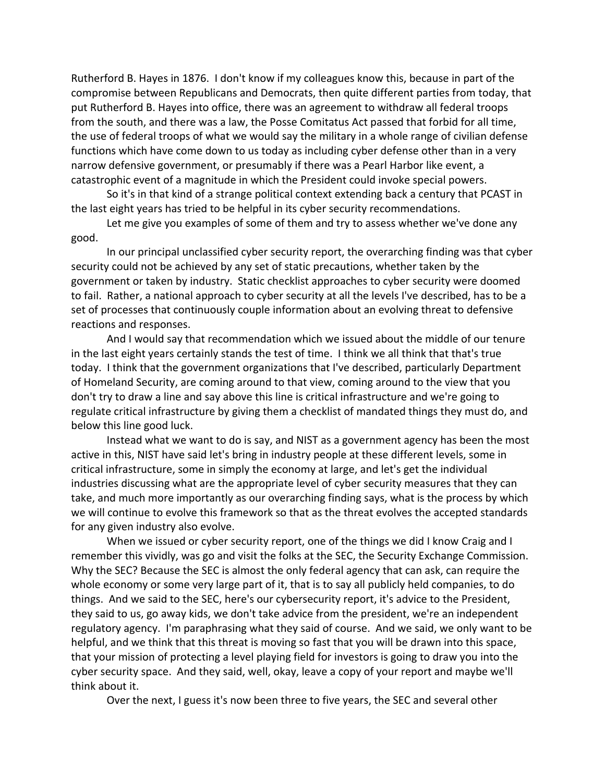Rutherford B. Hayes in 1876. I don't know if my colleagues know this, because in part of the compromise between Republicans and Democrats, then quite different parties from today, that put Rutherford B. Hayes into office, there was an agreement to withdraw all federal troops from the south, and there was a law, the Posse Comitatus Act passed that forbid for all time, the use of federal troops of what we would say the military in a whole range of civilian defense functions which have come down to us today as including cyber defense other than in a very narrow defensive government, or presumably if there was a Pearl Harbor like event, a catastrophic event of a magnitude in which the President could invoke special powers.

So it's in that kind of a strange political context extending back a century that PCAST in the last eight years has tried to be helpful in its cyber security recommendations.

Let me give you examples of some of them and try to assess whether we've done any good.

In our principal unclassified cyber security report, the overarching finding was that cyber security could not be achieved by any set of static precautions, whether taken by the government or taken by industry. Static checklist approaches to cyber security were doomed to fail. Rather, a national approach to cyber security at all the levels I've described, has to be a set of processes that continuously couple information about an evolving threat to defensive reactions and responses.

And I would say that recommendation which we issued about the middle of our tenure in the last eight years certainly stands the test of time. I think we all think that that's true today. I think that the government organizations that I've described, particularly Department of Homeland Security, are coming around to that view, coming around to the view that you don't try to draw a line and say above this line is critical infrastructure and we're going to regulate critical infrastructure by giving them a checklist of mandated things they must do, and below this line good luck.

Instead what we want to do is say, and NIST as a government agency has been the most active in this, NIST have said let's bring in industry people at these different levels, some in critical infrastructure, some in simply the economy at large, and let's get the individual industries discussing what are the appropriate level of cyber security measures that they can take, and much more importantly as our overarching finding says, what is the process by which we will continue to evolve this framework so that as the threat evolves the accepted standards for any given industry also evolve.

When we issued or cyber security report, one of the things we did I know Craig and I remember this vividly, was go and visit the folks at the SEC, the Security Exchange Commission. Why the SEC? Because the SEC is almost the only federal agency that can ask, can require the whole economy or some very large part of it, that is to say all publicly held companies, to do things. And we said to the SEC, here's our cybersecurity report, it's advice to the President, they said to us, go away kids, we don't take advice from the president, we're an independent regulatory agency. I'm paraphrasing what they said of course. And we said, we only want to be helpful, and we think that this threat is moving so fast that you will be drawn into this space, that your mission of protecting a level playing field for investors is going to draw you into the cyber security space. And they said, well, okay, leave a copy of your report and maybe we'll think about it.

Over the next, I guess it's now been three to five years, the SEC and several other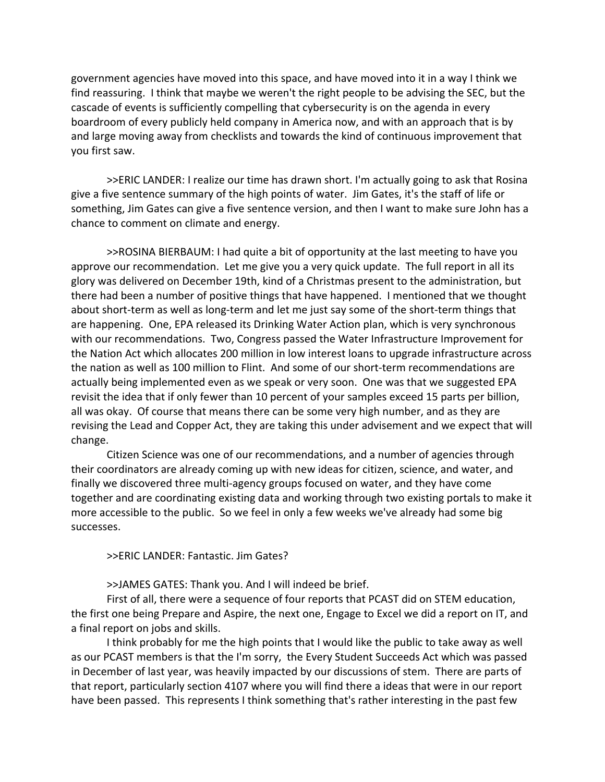government agencies have moved into this space, and have moved into it in a way I think we find reassuring. I think that maybe we weren't the right people to be advising the SEC, but the cascade of events is sufficiently compelling that cybersecurity is on the agenda in every boardroom of every publicly held company in America now, and with an approach that is by and large moving away from checklists and towards the kind of continuous improvement that you first saw.

>>ERIC LANDER: I realize our time has drawn short. I'm actually going to ask that Rosina give a five sentence summary of the high points of water. Jim Gates, it's the staff of life or something, Jim Gates can give a five sentence version, and then I want to make sure John has a chance to comment on climate and energy.

>>ROSINA BIERBAUM: I had quite a bit of opportunity at the last meeting to have you approve our recommendation. Let me give you a very quick update. The full report in all its glory was delivered on December 19th, kind of a Christmas present to the administration, but there had been a number of positive things that have happened. I mentioned that we thought about short-term as well as long-term and let me just say some of the short-term things that are happening. One, EPA released its Drinking Water Action plan, which is very synchronous with our recommendations. Two, Congress passed the Water Infrastructure Improvement for the Nation Act which allocates 200 million in low interest loans to upgrade infrastructure across the nation as well as 100 million to Flint. And some of our short‐term recommendations are actually being implemented even as we speak or very soon. One was that we suggested EPA revisit the idea that if only fewer than 10 percent of your samples exceed 15 parts per billion, all was okay. Of course that means there can be some very high number, and as they are revising the Lead and Copper Act, they are taking this under advisement and we expect that will change.

Citizen Science was one of our recommendations, and a number of agencies through their coordinators are already coming up with new ideas for citizen, science, and water, and finally we discovered three multi‐agency groups focused on water, and they have come together and are coordinating existing data and working through two existing portals to make it more accessible to the public. So we feel in only a few weeks we've already had some big successes.

>>ERIC LANDER: Fantastic. Jim Gates?

>>JAMES GATES: Thank you. And I will indeed be brief.

First of all, there were a sequence of four reports that PCAST did on STEM education, the first one being Prepare and Aspire, the next one, Engage to Excel we did a report on IT, and a final report on jobs and skills.

I think probably for me the high points that I would like the public to take away as well as our PCAST members is that the I'm sorry, the Every Student Succeeds Act which was passed in December of last year, was heavily impacted by our discussions of stem. There are parts of that report, particularly section 4107 where you will find there a ideas that were in our report have been passed. This represents I think something that's rather interesting in the past few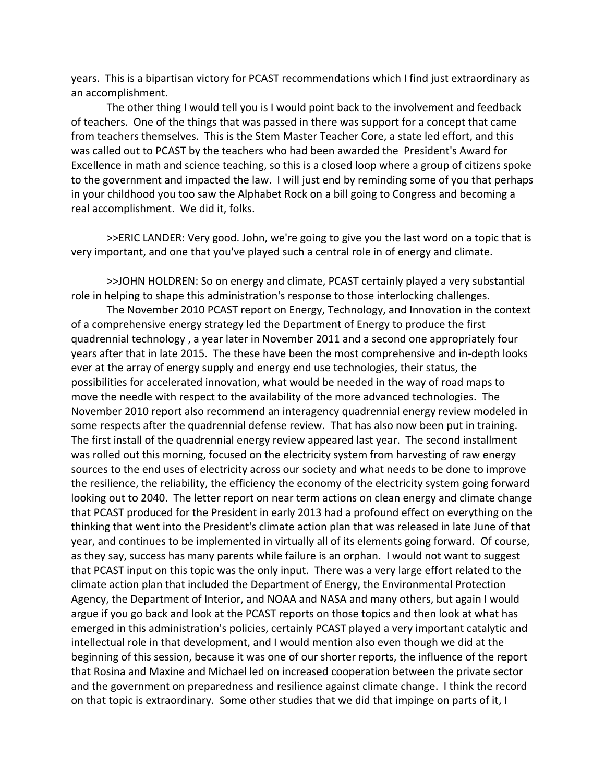years. This is a bipartisan victory for PCAST recommendations which I find just extraordinary as an accomplishment.

The other thing I would tell you is I would point back to the involvement and feedback of teachers. One of the things that was passed in there was support for a concept that came from teachers themselves. This is the Stem Master Teacher Core, a state led effort, and this was called out to PCAST by the teachers who had been awarded the President's Award for Excellence in math and science teaching, so this is a closed loop where a group of citizens spoke to the government and impacted the law. I will just end by reminding some of you that perhaps in your childhood you too saw the Alphabet Rock on a bill going to Congress and becoming a real accomplishment. We did it, folks.

>>ERIC LANDER: Very good. John, we're going to give you the last word on a topic that is very important, and one that you've played such a central role in of energy and climate.

>>JOHN HOLDREN: So on energy and climate, PCAST certainly played a very substantial role in helping to shape this administration's response to those interlocking challenges.

The November 2010 PCAST report on Energy, Technology, and Innovation in the context of a comprehensive energy strategy led the Department of Energy to produce the first quadrennial technology , a year later in November 2011 and a second one appropriately four years after that in late 2015. The these have been the most comprehensive and in‐depth looks ever at the array of energy supply and energy end use technologies, their status, the possibilities for accelerated innovation, what would be needed in the way of road maps to move the needle with respect to the availability of the more advanced technologies. The November 2010 report also recommend an interagency quadrennial energy review modeled in some respects after the quadrennial defense review. That has also now been put in training. The first install of the quadrennial energy review appeared last year. The second installment was rolled out this morning, focused on the electricity system from harvesting of raw energy sources to the end uses of electricity across our society and what needs to be done to improve the resilience, the reliability, the efficiency the economy of the electricity system going forward looking out to 2040. The letter report on near term actions on clean energy and climate change that PCAST produced for the President in early 2013 had a profound effect on everything on the thinking that went into the President's climate action plan that was released in late June of that year, and continues to be implemented in virtually all of its elements going forward. Of course, as they say, success has many parents while failure is an orphan. I would not want to suggest that PCAST input on this topic was the only input. There was a very large effort related to the climate action plan that included the Department of Energy, the Environmental Protection Agency, the Department of Interior, and NOAA and NASA and many others, but again I would argue if you go back and look at the PCAST reports on those topics and then look at what has emerged in this administration's policies, certainly PCAST played a very important catalytic and intellectual role in that development, and I would mention also even though we did at the beginning of this session, because it was one of our shorter reports, the influence of the report that Rosina and Maxine and Michael led on increased cooperation between the private sector and the government on preparedness and resilience against climate change. I think the record on that topic is extraordinary. Some other studies that we did that impinge on parts of it, I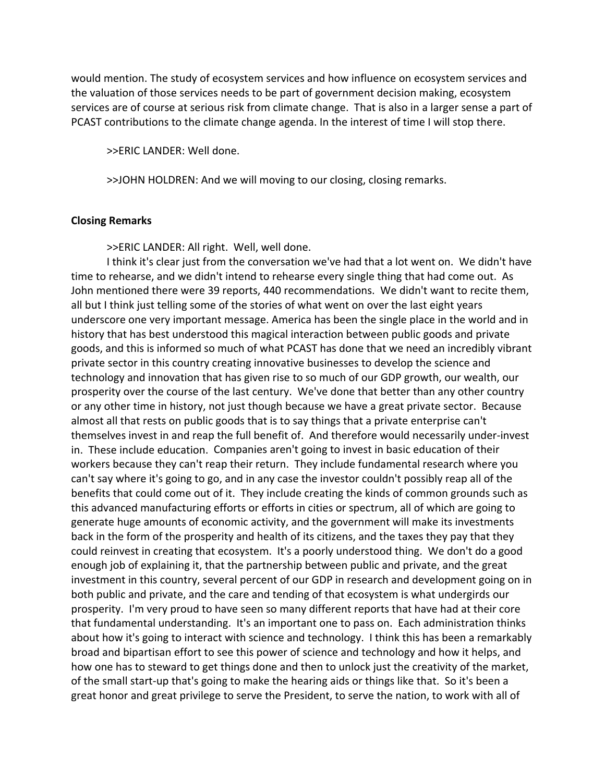would mention. The study of ecosystem services and how influence on ecosystem services and the valuation of those services needs to be part of government decision making, ecosystem services are of course at serious risk from climate change. That is also in a larger sense a part of PCAST contributions to the climate change agenda. In the interest of time I will stop there.

>>ERIC LANDER: Well done.

>>JOHN HOLDREN: And we will moving to our closing, closing remarks.

#### **Closing Remarks**

>>ERIC LANDER: All right. Well, well done.

I think it's clear just from the conversation we've had that a lot went on. We didn't have time to rehearse, and we didn't intend to rehearse every single thing that had come out. As John mentioned there were 39 reports, 440 recommendations. We didn't want to recite them, all but I think just telling some of the stories of what went on over the last eight years underscore one very important message. America has been the single place in the world and in history that has best understood this magical interaction between public goods and private goods, and this is informed so much of what PCAST has done that we need an incredibly vibrant private sector in this country creating innovative businesses to develop the science and technology and innovation that has given rise to so much of our GDP growth, our wealth, our prosperity over the course of the last century. We've done that better than any other country or any other time in history, not just though because we have a great private sector. Because almost all that rests on public goods that is to say things that a private enterprise can't themselves invest in and reap the full benefit of. And therefore would necessarily under‐invest in. These include education. Companies aren't going to invest in basic education of their workers because they can't reap their return. They include fundamental research where you can't say where it's going to go, and in any case the investor couldn't possibly reap all of the benefits that could come out of it. They include creating the kinds of common grounds such as this advanced manufacturing efforts or efforts in cities or spectrum, all of which are going to generate huge amounts of economic activity, and the government will make its investments back in the form of the prosperity and health of its citizens, and the taxes they pay that they could reinvest in creating that ecosystem. It's a poorly understood thing. We don't do a good enough job of explaining it, that the partnership between public and private, and the great investment in this country, several percent of our GDP in research and development going on in both public and private, and the care and tending of that ecosystem is what undergirds our prosperity. I'm very proud to have seen so many different reports that have had at their core that fundamental understanding. It's an important one to pass on. Each administration thinks about how it's going to interact with science and technology. I think this has been a remarkably broad and bipartisan effort to see this power of science and technology and how it helps, and how one has to steward to get things done and then to unlock just the creativity of the market, of the small start-up that's going to make the hearing aids or things like that. So it's been a great honor and great privilege to serve the President, to serve the nation, to work with all of